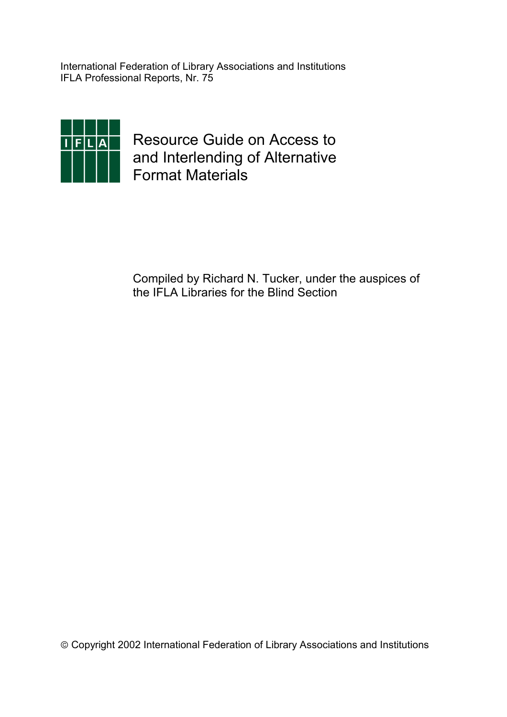International Federation of Library Associations and Institutions IFLA Professional Reports, Nr. 75



Resource Guide on Access to and Interlending of Alternative Format Materials

Compiled by Richard N. Tucker, under the auspices of the IFLA Libraries for the Blind Section

Copyright 2002 International Federation of Library Associations and Institutions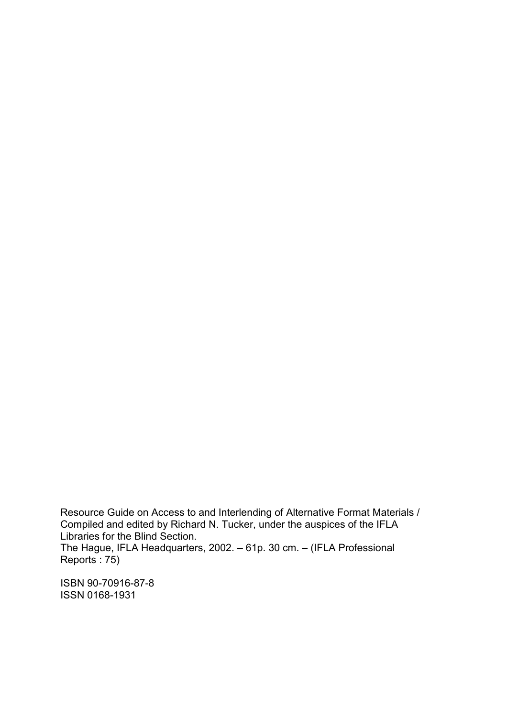Resource Guide on Access to and Interlending of Alternative Format Materials / Compiled and edited by Richard N. Tucker, under the auspices of the IFLA Libraries for the Blind Section. The Hague, IFLA Headquarters, 2002. – 61p. 30 cm. – (IFLA Professional Reports : 75)

ISBN 90-70916-87-8 ISSN 0168-1931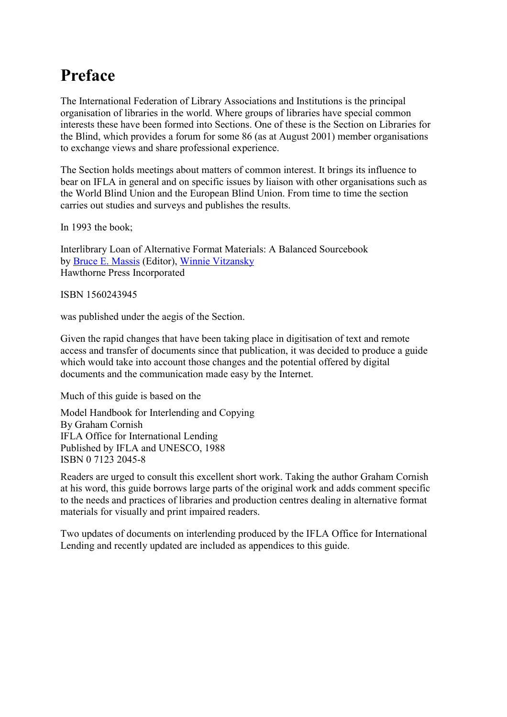# **Preface**

The International Federation of Library Associations and Institutions is the principal organisation of libraries in the world. Where groups of libraries have special common interests these have been formed into Sections. One of these is the Section on Libraries for the Blind, which provides a forum for some 86 (as at August 2001) member organisations to exchange views and share professional experience.

The Section holds meetings about matters of common interest. It brings its influence to bear on IFLA in general and on specific issues by liaison with other organisations such as the World Blind Union and the European Blind Union. From time to time the section carries out studies and surveys and publishes the results.

In 1993 the book;

Interlibrary Loan of Alternative Format Materials: A Balanced Sourcebook by Bruce E. Massis (Editor), Winnie Vitzansky Hawthorne Press Incorporated

ISBN 1560243945

was published under the aegis of the Section.

Given the rapid changes that have been taking place in digitisation of text and remote access and transfer of documents since that publication, it was decided to produce a guide which would take into account those changes and the potential offered by digital documents and the communication made easy by the Internet.

Much of this guide is based on the

Model Handbook for Interlending and Copying By Graham Cornish IFLA Office for International Lending Published by IFLA and UNESCO, 1988 ISBN 0 7123 2045-8

Readers are urged to consult this excellent short work. Taking the author Graham Cornish at his word, this guide borrows large parts of the original work and adds comment specific to the needs and practices of libraries and production centres dealing in alternative format materials for visually and print impaired readers.

Two updates of documents on interlending produced by the IFLA Office for International Lending and recently updated are included as appendices to this guide.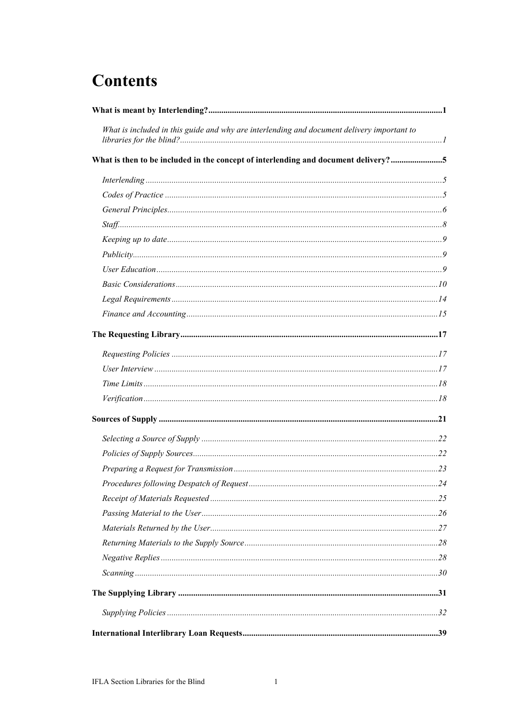# **Contents**

| What is included in this guide and why are interlending and document delivery important to |  |
|--------------------------------------------------------------------------------------------|--|
| What is then to be included in the concept of interlending and document delivery?5         |  |
|                                                                                            |  |
|                                                                                            |  |
|                                                                                            |  |
|                                                                                            |  |
|                                                                                            |  |
|                                                                                            |  |
|                                                                                            |  |
|                                                                                            |  |
|                                                                                            |  |
|                                                                                            |  |
|                                                                                            |  |
|                                                                                            |  |
|                                                                                            |  |
|                                                                                            |  |
|                                                                                            |  |
|                                                                                            |  |
|                                                                                            |  |
|                                                                                            |  |
|                                                                                            |  |
|                                                                                            |  |
|                                                                                            |  |
|                                                                                            |  |
|                                                                                            |  |
|                                                                                            |  |
|                                                                                            |  |
|                                                                                            |  |
|                                                                                            |  |
|                                                                                            |  |
|                                                                                            |  |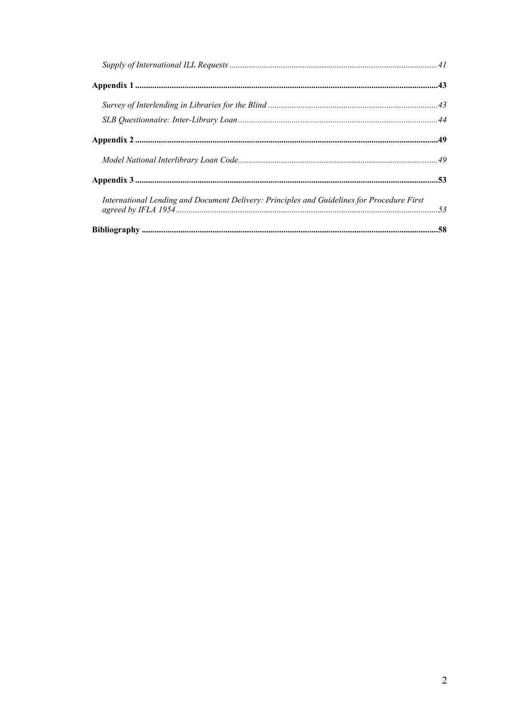| International Lending and Document Delivery: Principles and Guidelines for Procedure First |  |
|--------------------------------------------------------------------------------------------|--|
|                                                                                            |  |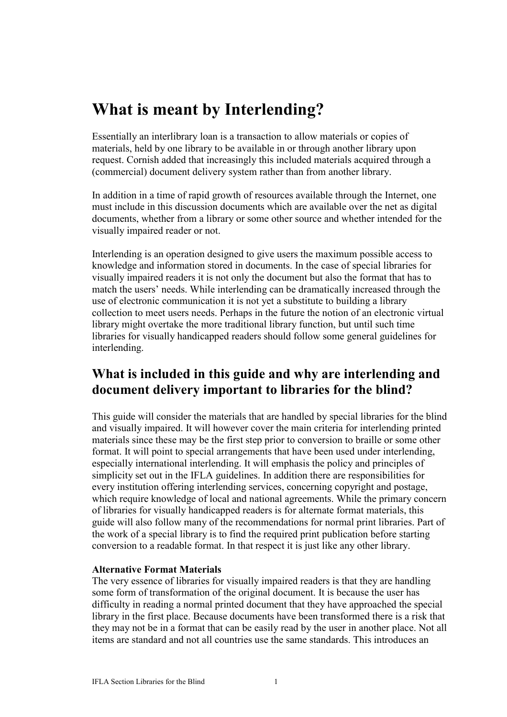## **What is meant by Interlending?**

Essentially an interlibrary loan is a transaction to allow materials or copies of materials, held by one library to be available in or through another library upon request. Cornish added that increasingly this included materials acquired through a (commercial) document delivery system rather than from another library.

In addition in a time of rapid growth of resources available through the Internet, one must include in this discussion documents which are available over the net as digital documents, whether from a library or some other source and whether intended for the visually impaired reader or not.

Interlending is an operation designed to give users the maximum possible access to knowledge and information stored in documents. In the case of special libraries for visually impaired readers it is not only the document but also the format that has to match the users' needs. While interlending can be dramatically increased through the use of electronic communication it is not yet a substitute to building a library collection to meet users needs. Perhaps in the future the notion of an electronic virtual library might overtake the more traditional library function, but until such time libraries for visually handicapped readers should follow some general guidelines for interlending.

### **What is included in this guide and why are interlending and document delivery important to libraries for the blind?**

This guide will consider the materials that are handled by special libraries for the blind and visually impaired. It will however cover the main criteria for interlending printed materials since these may be the first step prior to conversion to braille or some other format. It will point to special arrangements that have been used under interlending, especially international interlending. It will emphasis the policy and principles of simplicity set out in the IFLA guidelines. In addition there are responsibilities for every institution offering interlending services, concerning copyright and postage, which require knowledge of local and national agreements. While the primary concern of libraries for visually handicapped readers is for alternate format materials, this guide will also follow many of the recommendations for normal print libraries. Part of the work of a special library is to find the required print publication before starting conversion to a readable format. In that respect it is just like any other library.

#### **Alternative Format Materials**

The very essence of libraries for visually impaired readers is that they are handling some form of transformation of the original document. It is because the user has difficulty in reading a normal printed document that they have approached the special library in the first place. Because documents have been transformed there is a risk that they may not be in a format that can be easily read by the user in another place. Not all items are standard and not all countries use the same standards. This introduces an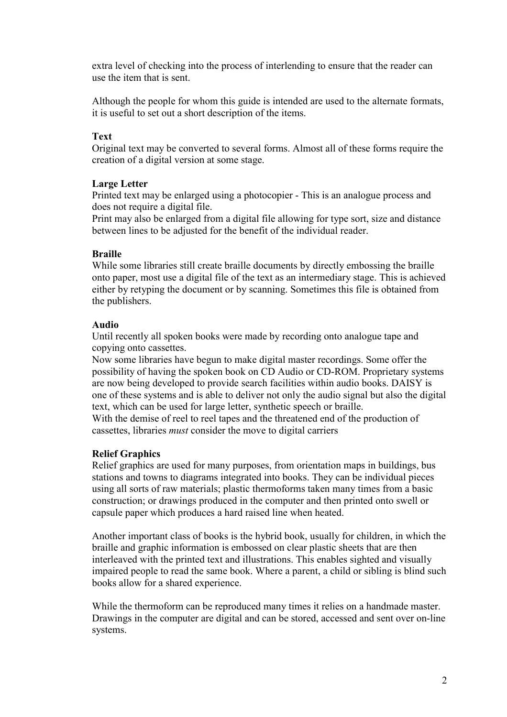extra level of checking into the process of interlending to ensure that the reader can use the item that is sent.

Although the people for whom this guide is intended are used to the alternate formats, it is useful to set out a short description of the items.

#### **Text**

Original text may be converted to several forms. Almost all of these forms require the creation of a digital version at some stage.

#### **Large Letter**

Printed text may be enlarged using a photocopier - This is an analogue process and does not require a digital file.

Print may also be enlarged from a digital file allowing for type sort, size and distance between lines to be adjusted for the benefit of the individual reader.

#### **Braille**

While some libraries still create braille documents by directly embossing the braille onto paper, most use a digital file of the text as an intermediary stage. This is achieved either by retyping the document or by scanning. Sometimes this file is obtained from the publishers.

#### **Audio**

Until recently all spoken books were made by recording onto analogue tape and copying onto cassettes.

Now some libraries have begun to make digital master recordings. Some offer the possibility of having the spoken book on CD Audio or CD-ROM. Proprietary systems are now being developed to provide search facilities within audio books. DAISY is one of these systems and is able to deliver not only the audio signal but also the digital text, which can be used for large letter, synthetic speech or braille.

With the demise of reel to reel tapes and the threatened end of the production of cassettes, libraries *must* consider the move to digital carriers

#### **Relief Graphics**

Relief graphics are used for many purposes, from orientation maps in buildings, bus stations and towns to diagrams integrated into books. They can be individual pieces using all sorts of raw materials; plastic thermoforms taken many times from a basic construction; or drawings produced in the computer and then printed onto swell or capsule paper which produces a hard raised line when heated.

Another important class of books is the hybrid book, usually for children, in which the braille and graphic information is embossed on clear plastic sheets that are then interleaved with the printed text and illustrations. This enables sighted and visually impaired people to read the same book. Where a parent, a child or sibling is blind such books allow for a shared experience.

While the thermoform can be reproduced many times it relies on a handmade master. Drawings in the computer are digital and can be stored, accessed and sent over on-line systems.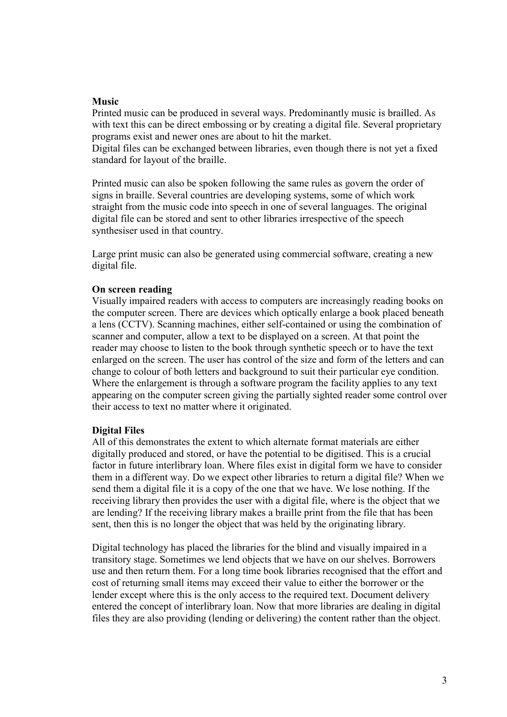#### **Music**

Printed music can be produced in several ways. Predominantly music is brailled. As with text this can be direct embossing or by creating a digital file. Several proprietary programs exist and newer ones are about to hit the market.

Digital files can be exchanged between libraries, even though there is not yet a fixed standard for layout of the braille.

Printed music can also be spoken following the same rules as govern the order of signs in braille. Several countries are developing systems, some of which work straight from the music code into speech in one of several languages. The original digital file can be stored and sent to other libraries irrespective of the speech synthesiser used in that country.

Large print music can also be generated using commercial software, creating a new digital file.

#### **On screen reading**

Visually impaired readers with access to computers are increasingly reading books on the computer screen. There are devices which optically enlarge a book placed beneath a lens (CCTV). Scanning machines, either self-contained or using the combination of scanner and computer, allow a text to be displayed on a screen. At that point the reader may choose to listen to the book through synthetic speech or to have the text enlarged on the screen. The user has control of the size and form of the letters and can change to colour of both letters and background to suit their particular eye condition. Where the enlargement is through a software program the facility applies to any text appearing on the computer screen giving the partially sighted reader some control over their access to text no matter where it originated.

#### **Digital Files**

All of this demonstrates the extent to which alternate format materials are either digitally produced and stored, or have the potential to be digitised. This is a crucial factor in future interlibrary loan. Where files exist in digital form we have to consider them in a different way. Do we expect other libraries to return a digital file? When we send them a digital file it is a copy of the one that we have. We lose nothing. If the receiving library then provides the user with a digital file, where is the object that we are lending? If the receiving library makes a braille print from the file that has been sent, then this is no longer the object that was held by the originating library.

Digital technology has placed the libraries for the blind and visually impaired in a transitory stage. Sometimes we lend objects that we have on our shelves. Borrowers use and then return them. For a long time book libraries recognised that the effort and cost of returning small items may exceed their value to either the borrower or the lender except where this is the only access to the required text. Document delivery entered the concept of interlibrary loan. Now that more libraries are dealing in digital files they are also providing (lending or delivering) the content rather than the object.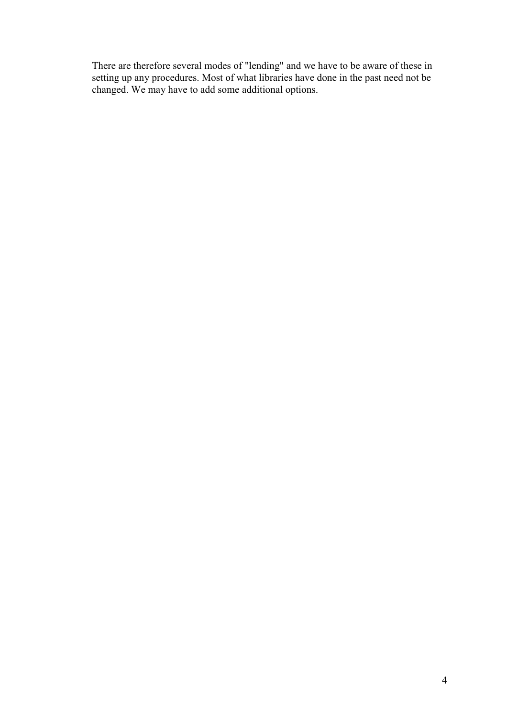There are therefore several modes of "lending" and we have to be aware of these in setting up any procedures. Most of what libraries have done in the past need not be changed. We may have to add some additional options.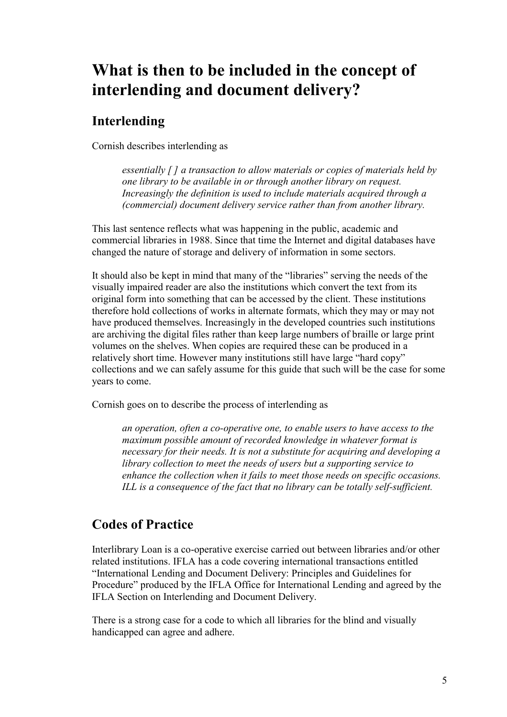# **What is then to be included in the concept of interlending and document delivery?**

### **Interlending**

Cornish describes interlending as

*essentially [ ] a transaction to allow materials or copies of materials held by one library to be available in or through another library on request. Increasingly the definition is used to include materials acquired through a (commercial) document delivery service rather than from another library.*

This last sentence reflects what was happening in the public, academic and commercial libraries in 1988. Since that time the Internet and digital databases have changed the nature of storage and delivery of information in some sectors.

It should also be kept in mind that many of the "libraries" serving the needs of the visually impaired reader are also the institutions which convert the text from its original form into something that can be accessed by the client. These institutions therefore hold collections of works in alternate formats, which they may or may not have produced themselves. Increasingly in the developed countries such institutions are archiving the digital files rather than keep large numbers of braille or large print volumes on the shelves. When copies are required these can be produced in a relatively short time. However many institutions still have large "hard copy" collections and we can safely assume for this guide that such will be the case for some years to come.

Cornish goes on to describe the process of interlending as

*an operation, often a co-operative one, to enable users to have access to the maximum possible amount of recorded knowledge in whatever format is necessary for their needs. It is not a substitute for acquiring and developing a library collection to meet the needs of users but a supporting service to enhance the collection when it fails to meet those needs on specific occasions. ILL is a consequence of the fact that no library can be totally self-sufficient.*

## **Codes of Practice**

Interlibrary Loan is a co-operative exercise carried out between libraries and/or other related institutions. IFLA has a code covering international transactions entitled "International Lending and Document Delivery: Principles and Guidelines for Procedure" produced by the IFLA Office for International Lending and agreed by the IFLA Section on Interlending and Document Delivery.

There is a strong case for a code to which all libraries for the blind and visually handicapped can agree and adhere.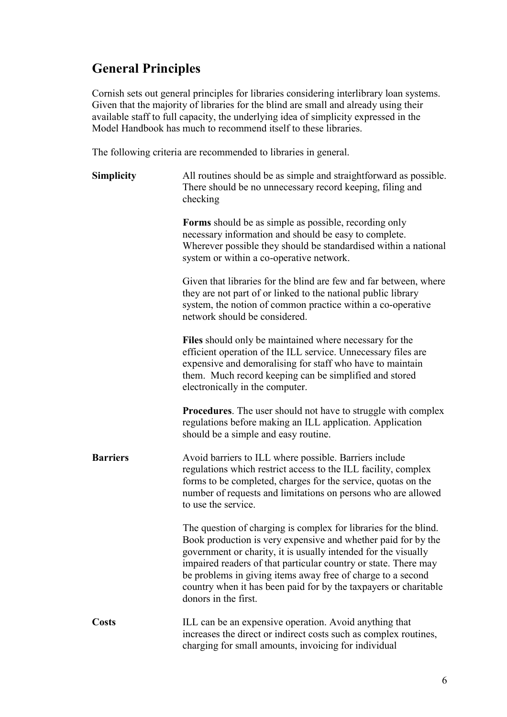## **General Principles**

Cornish sets out general principles for libraries considering interlibrary loan systems. Given that the majority of libraries for the blind are small and already using their available staff to full capacity, the underlying idea of simplicity expressed in the Model Handbook has much to recommend itself to these libraries.

The following criteria are recommended to libraries in general.

| <b>Simplicity</b> | All routines should be as simple and straightforward as possible.<br>There should be no unnecessary record keeping, filing and<br>checking                                                                                                                                                                                                                                                                                        |
|-------------------|-----------------------------------------------------------------------------------------------------------------------------------------------------------------------------------------------------------------------------------------------------------------------------------------------------------------------------------------------------------------------------------------------------------------------------------|
|                   | <b>Forms</b> should be as simple as possible, recording only<br>necessary information and should be easy to complete.<br>Wherever possible they should be standardised within a national<br>system or within a co-operative network.                                                                                                                                                                                              |
|                   | Given that libraries for the blind are few and far between, where<br>they are not part of or linked to the national public library<br>system, the notion of common practice within a co-operative<br>network should be considered.                                                                                                                                                                                                |
|                   | Files should only be maintained where necessary for the<br>efficient operation of the ILL service. Unnecessary files are<br>expensive and demoralising for staff who have to maintain<br>them. Much record keeping can be simplified and stored<br>electronically in the computer.                                                                                                                                                |
|                   | <b>Procedures.</b> The user should not have to struggle with complex<br>regulations before making an ILL application. Application<br>should be a simple and easy routine.                                                                                                                                                                                                                                                         |
| <b>Barriers</b>   | Avoid barriers to ILL where possible. Barriers include<br>regulations which restrict access to the ILL facility, complex<br>forms to be completed, charges for the service, quotas on the<br>number of requests and limitations on persons who are allowed<br>to use the service.                                                                                                                                                 |
|                   | The question of charging is complex for libraries for the blind.<br>Book production is very expensive and whether paid for by the<br>government or charity, it is usually intended for the visually<br>impaired readers of that particular country or state. There may<br>be problems in giving items away free of charge to a second<br>country when it has been paid for by the taxpayers or charitable<br>donors in the first. |
| <b>Costs</b>      | ILL can be an expensive operation. Avoid anything that<br>increases the direct or indirect costs such as complex routines,<br>charging for small amounts, invoicing for individual                                                                                                                                                                                                                                                |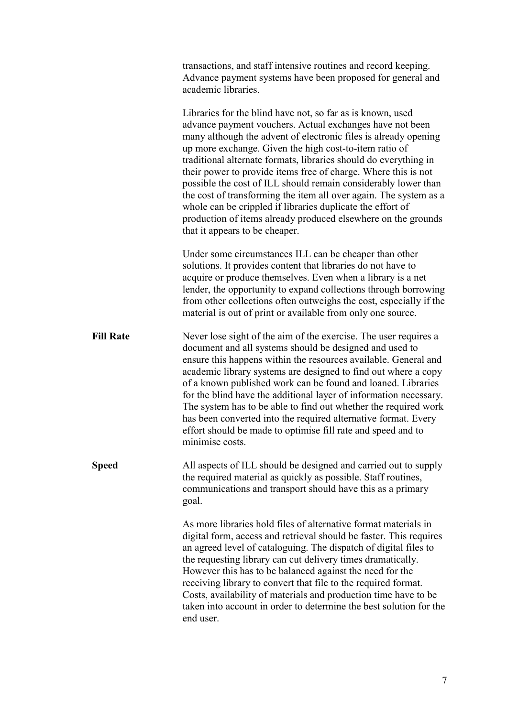|                  | transactions, and staff intensive routines and record keeping.<br>Advance payment systems have been proposed for general and<br>academic libraries.                                                                                                                                                                                                                                                                                                                                                                                                                                                                                                                                               |
|------------------|---------------------------------------------------------------------------------------------------------------------------------------------------------------------------------------------------------------------------------------------------------------------------------------------------------------------------------------------------------------------------------------------------------------------------------------------------------------------------------------------------------------------------------------------------------------------------------------------------------------------------------------------------------------------------------------------------|
|                  | Libraries for the blind have not, so far as is known, used<br>advance payment vouchers. Actual exchanges have not been<br>many although the advent of electronic files is already opening<br>up more exchange. Given the high cost-to-item ratio of<br>traditional alternate formats, libraries should do everything in<br>their power to provide items free of charge. Where this is not<br>possible the cost of ILL should remain considerably lower than<br>the cost of transforming the item all over again. The system as a<br>whole can be crippled if libraries duplicate the effort of<br>production of items already produced elsewhere on the grounds<br>that it appears to be cheaper. |
|                  | Under some circumstances ILL can be cheaper than other<br>solutions. It provides content that libraries do not have to<br>acquire or produce themselves. Even when a library is a net<br>lender, the opportunity to expand collections through borrowing<br>from other collections often outweighs the cost, especially if the<br>material is out of print or available from only one source.                                                                                                                                                                                                                                                                                                     |
| <b>Fill Rate</b> | Never lose sight of the aim of the exercise. The user requires a<br>document and all systems should be designed and used to<br>ensure this happens within the resources available. General and<br>academic library systems are designed to find out where a copy<br>of a known published work can be found and loaned. Libraries<br>for the blind have the additional layer of information necessary.<br>The system has to be able to find out whether the required work<br>has been converted into the required alternative format. Every<br>effort should be made to optimise fill rate and speed and to<br>minimise costs.                                                                     |
| <b>Speed</b>     | All aspects of ILL should be designed and carried out to supply<br>the required material as quickly as possible. Staff routines,<br>communications and transport should have this as a primary<br>goal.                                                                                                                                                                                                                                                                                                                                                                                                                                                                                           |
|                  | As more libraries hold files of alternative format materials in<br>digital form, access and retrieval should be faster. This requires<br>an agreed level of cataloguing. The dispatch of digital files to<br>the requesting library can cut delivery times dramatically.<br>However this has to be balanced against the need for the<br>receiving library to convert that file to the required format.<br>Costs, availability of materials and production time have to be<br>taken into account in order to determine the best solution for the<br>end user.                                                                                                                                      |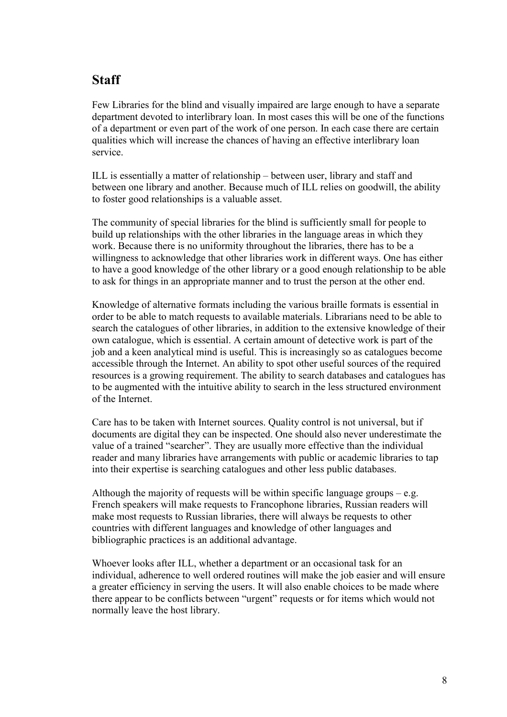### **Staff**

Few Libraries for the blind and visually impaired are large enough to have a separate department devoted to interlibrary loan. In most cases this will be one of the functions of a department or even part of the work of one person. In each case there are certain qualities which will increase the chances of having an effective interlibrary loan service.

ILL is essentially a matter of relationship – between user, library and staff and between one library and another. Because much of ILL relies on goodwill, the ability to foster good relationships is a valuable asset.

The community of special libraries for the blind is sufficiently small for people to build up relationships with the other libraries in the language areas in which they work. Because there is no uniformity throughout the libraries, there has to be a willingness to acknowledge that other libraries work in different ways. One has either to have a good knowledge of the other library or a good enough relationship to be able to ask for things in an appropriate manner and to trust the person at the other end.

Knowledge of alternative formats including the various braille formats is essential in order to be able to match requests to available materials. Librarians need to be able to search the catalogues of other libraries, in addition to the extensive knowledge of their own catalogue, which is essential. A certain amount of detective work is part of the job and a keen analytical mind is useful. This is increasingly so as catalogues become accessible through the Internet. An ability to spot other useful sources of the required resources is a growing requirement. The ability to search databases and catalogues has to be augmented with the intuitive ability to search in the less structured environment of the Internet.

Care has to be taken with Internet sources. Quality control is not universal, but if documents are digital they can be inspected. One should also never underestimate the value of a trained "searcher". They are usually more effective than the individual reader and many libraries have arrangements with public or academic libraries to tap into their expertise is searching catalogues and other less public databases.

Although the majority of requests will be within specific language groups  $-e.g.$ French speakers will make requests to Francophone libraries, Russian readers will make most requests to Russian libraries, there will always be requests to other countries with different languages and knowledge of other languages and bibliographic practices is an additional advantage.

Whoever looks after ILL, whether a department or an occasional task for an individual, adherence to well ordered routines will make the job easier and will ensure a greater efficiency in serving the users. It will also enable choices to be made where there appear to be conflicts between "urgent" requests or for items which would not normally leave the host library.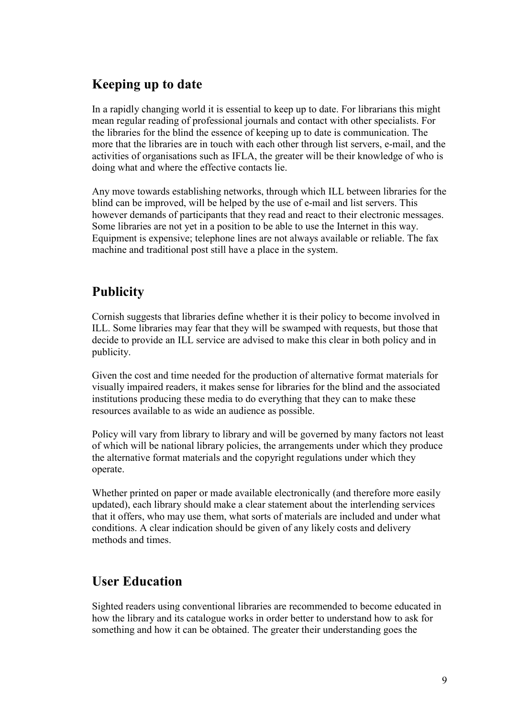## **Keeping up to date**

In a rapidly changing world it is essential to keep up to date. For librarians this might mean regular reading of professional journals and contact with other specialists. For the libraries for the blind the essence of keeping up to date is communication. The more that the libraries are in touch with each other through list servers, e-mail, and the activities of organisations such as IFLA, the greater will be their knowledge of who is doing what and where the effective contacts lie.

Any move towards establishing networks, through which ILL between libraries for the blind can be improved, will be helped by the use of e-mail and list servers. This however demands of participants that they read and react to their electronic messages. Some libraries are not yet in a position to be able to use the Internet in this way. Equipment is expensive; telephone lines are not always available or reliable. The fax machine and traditional post still have a place in the system.

### **Publicity**

Cornish suggests that libraries define whether it is their policy to become involved in ILL. Some libraries may fear that they will be swamped with requests, but those that decide to provide an ILL service are advised to make this clear in both policy and in publicity.

Given the cost and time needed for the production of alternative format materials for visually impaired readers, it makes sense for libraries for the blind and the associated institutions producing these media to do everything that they can to make these resources available to as wide an audience as possible.

Policy will vary from library to library and will be governed by many factors not least of which will be national library policies, the arrangements under which they produce the alternative format materials and the copyright regulations under which they operate.

Whether printed on paper or made available electronically (and therefore more easily updated), each library should make a clear statement about the interlending services that it offers, who may use them, what sorts of materials are included and under what conditions. A clear indication should be given of any likely costs and delivery methods and times.

## **User Education**

Sighted readers using conventional libraries are recommended to become educated in how the library and its catalogue works in order better to understand how to ask for something and how it can be obtained. The greater their understanding goes the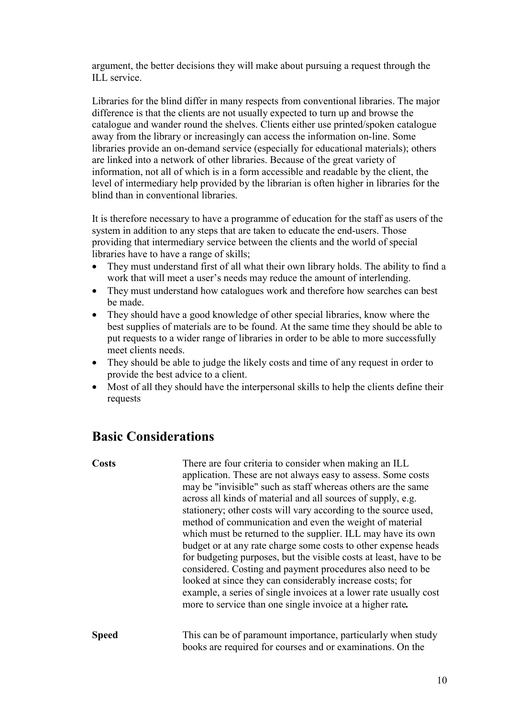argument, the better decisions they will make about pursuing a request through the ILL service.

Libraries for the blind differ in many respects from conventional libraries. The major difference is that the clients are not usually expected to turn up and browse the catalogue and wander round the shelves. Clients either use printed/spoken catalogue away from the library or increasingly can access the information on-line. Some libraries provide an on-demand service (especially for educational materials); others are linked into a network of other libraries. Because of the great variety of information, not all of which is in a form accessible and readable by the client, the level of intermediary help provided by the librarian is often higher in libraries for the blind than in conventional libraries.

It is therefore necessary to have a programme of education for the staff as users of the system in addition to any steps that are taken to educate the end-users. Those providing that intermediary service between the clients and the world of special libraries have to have a range of skills;

- They must understand first of all what their own library holds. The ability to find a work that will meet a user's needs may reduce the amount of interlending.
- They must understand how catalogues work and therefore how searches can best be made.
- They should have a good knowledge of other special libraries, know where the best supplies of materials are to be found. At the same time they should be able to put requests to a wider range of libraries in order to be able to more successfully meet clients needs.
- They should be able to judge the likely costs and time of any request in order to provide the best advice to a client.
- Most of all they should have the interpersonal skills to help the clients define their requests

### **Basic Considerations**

**Costs** There are four criteria to consider when making an ILL application. These are not always easy to assess. Some costs may be "invisible" such as staff whereas others are the same across all kinds of material and all sources of supply, e.g. stationery; other costs will vary according to the source used, method of communication and even the weight of material which must be returned to the supplier. ILL may have its own budget or at any rate charge some costs to other expense heads for budgeting purposes, but the visible costs at least, have to be considered. Costing and payment procedures also need to be looked at since they can considerably increase costs; for example, a series of single invoices at a lower rate usually cost more to service than one single invoice at a higher rate*.* **Speed** This can be of paramount importance, particularly when study books are required for courses and or examinations. On the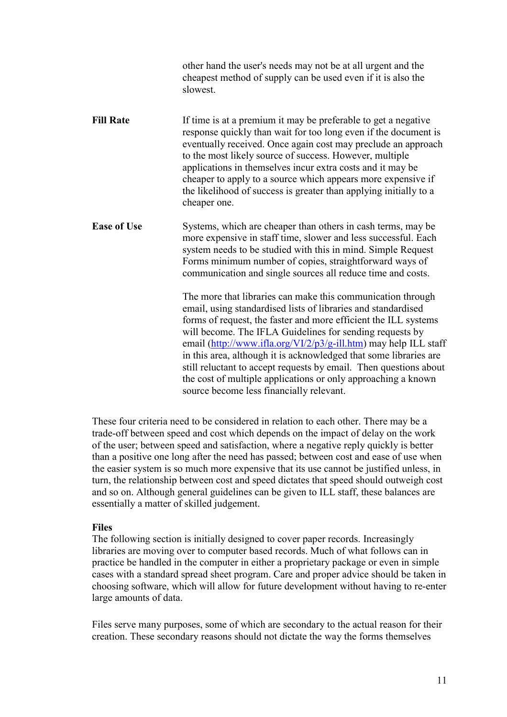|                    | other hand the user's needs may not be at all urgent and the<br>cheapest method of supply can be used even if it is also the<br>slowest.                                                                                                                                                                                                                                                                                                                                                                                                                                               |
|--------------------|----------------------------------------------------------------------------------------------------------------------------------------------------------------------------------------------------------------------------------------------------------------------------------------------------------------------------------------------------------------------------------------------------------------------------------------------------------------------------------------------------------------------------------------------------------------------------------------|
| <b>Fill Rate</b>   | If time is at a premium it may be preferable to get a negative<br>response quickly than wait for too long even if the document is<br>eventually received. Once again cost may preclude an approach<br>to the most likely source of success. However, multiple<br>applications in themselves incur extra costs and it may be<br>cheaper to apply to a source which appears more expensive if<br>the likelihood of success is greater than applying initially to a<br>cheaper one.                                                                                                       |
| <b>Ease of Use</b> | Systems, which are cheaper than others in cash terms, may be<br>more expensive in staff time, slower and less successful. Each<br>system needs to be studied with this in mind. Simple Request<br>Forms minimum number of copies, straightforward ways of<br>communication and single sources all reduce time and costs.                                                                                                                                                                                                                                                               |
|                    | The more that libraries can make this communication through<br>email, using standardised lists of libraries and standardised<br>forms of request, the faster and more efficient the ILL systems<br>will become. The IFLA Guidelines for sending requests by<br>email (http://www.ifla.org/VI/2/p3/g-ill.htm) may help ILL staff<br>in this area, although it is acknowledged that some libraries are<br>still reluctant to accept requests by email. Then questions about<br>the cost of multiple applications or only approaching a known<br>source become less financially relevant. |

These four criteria need to be considered in relation to each other. There may be a trade-off between speed and cost which depends on the impact of delay on the work of the user; between speed and satisfaction, where a negative reply quickly is better than a positive one long after the need has passed; between cost and ease of use when the easier system is so much more expensive that its use cannot be justified unless, in turn, the relationship between cost and speed dictates that speed should outweigh cost and so on. Although general guidelines can be given to ILL staff, these balances are essentially a matter of skilled judgement.

#### **Files**

The following section is initially designed to cover paper records. Increasingly libraries are moving over to computer based records. Much of what follows can in practice be handled in the computer in either a proprietary package or even in simple cases with a standard spread sheet program. Care and proper advice should be taken in choosing software, which will allow for future development without having to re-enter large amounts of data.

Files serve many purposes, some of which are secondary to the actual reason for their creation. These secondary reasons should not dictate the way the forms themselves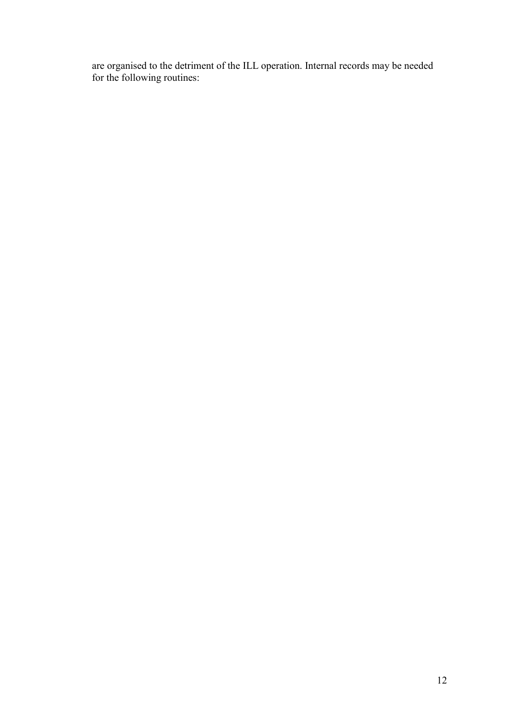are organised to the detriment of the ILL operation. Internal records may be needed for the following routines: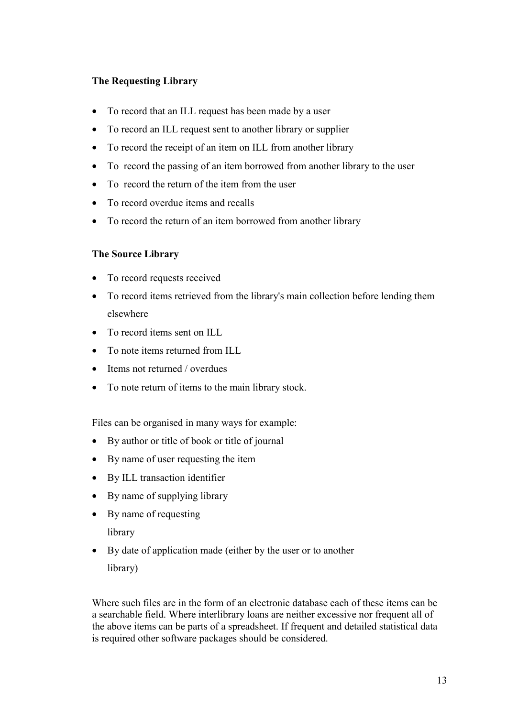#### **The Requesting Library**

- To record that an ILL request has been made by a user
- To record an ILL request sent to another library or supplier
- To record the receipt of an item on ILL from another library
- To record the passing of an item borrowed from another library to the user
- To record the return of the item from the user
- To record overdue items and recalls
- To record the return of an item borrowed from another library

#### **The Source Library**

- To record requests received
- To record items retrieved from the library's main collection before lending them elsewhere
- To record items sent on ILL
- To note items returned from ILL
- Items not returned / overdues
- To note return of items to the main library stock.

Files can be organised in many ways for example:

- By author or title of book or title of journal
- By name of user requesting the item
- By ILL transaction identifier
- By name of supplying library
- By name of requesting

library

• By date of application made (either by the user or to another library)

Where such files are in the form of an electronic database each of these items can be a searchable field. Where interlibrary loans are neither excessive nor frequent all of the above items can be parts of a spreadsheet. If frequent and detailed statistical data is required other software packages should be considered.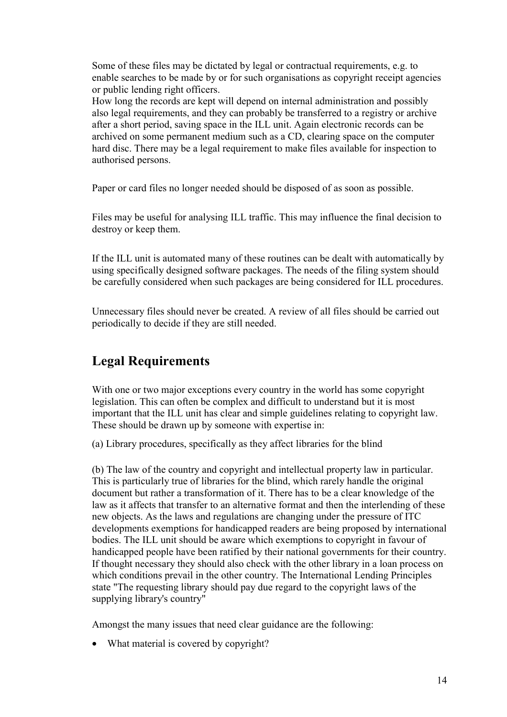Some of these files may be dictated by legal or contractual requirements, e.g. to enable searches to be made by or for such organisations as copyright receipt agencies or public lending right officers.

How long the records are kept will depend on internal administration and possibly also legal requirements, and they can probably be transferred to a registry or archive after a short period, saving space in the ILL unit. Again electronic records can be archived on some permanent medium such as a CD, clearing space on the computer hard disc. There may be a legal requirement to make files available for inspection to authorised persons.

Paper or card files no longer needed should be disposed of as soon as possible.

Files may be useful for analysing ILL traffic. This may influence the final decision to destroy or keep them.

If the ILL unit is automated many of these routines can be dealt with automatically by using specifically designed software packages. The needs of the filing system should be carefully considered when such packages are being considered for ILL procedures.

Unnecessary files should never be created. A review of all files should be carried out periodically to decide if they are still needed.

## **Legal Requirements**

With one or two major exceptions every country in the world has some copyright legislation. This can often be complex and difficult to understand but it is most important that the ILL unit has clear and simple guidelines relating to copyright law. These should be drawn up by someone with expertise in:

(a) Library procedures, specifically as they affect libraries for the blind

(b) The law of the country and copyright and intellectual property law in particular. This is particularly true of libraries for the blind, which rarely handle the original document but rather a transformation of it. There has to be a clear knowledge of the law as it affects that transfer to an alternative format and then the interlending of these new objects. As the laws and regulations are changing under the pressure of ITC developments exemptions for handicapped readers are being proposed by international bodies. The ILL unit should be aware which exemptions to copyright in favour of handicapped people have been ratified by their national governments for their country. If thought necessary they should also check with the other library in a loan process on which conditions prevail in the other country. The International Lending Principles state "The requesting library should pay due regard to the copyright laws of the supplying library's country"

Amongst the many issues that need clear guidance are the following:

• What material is covered by copyright?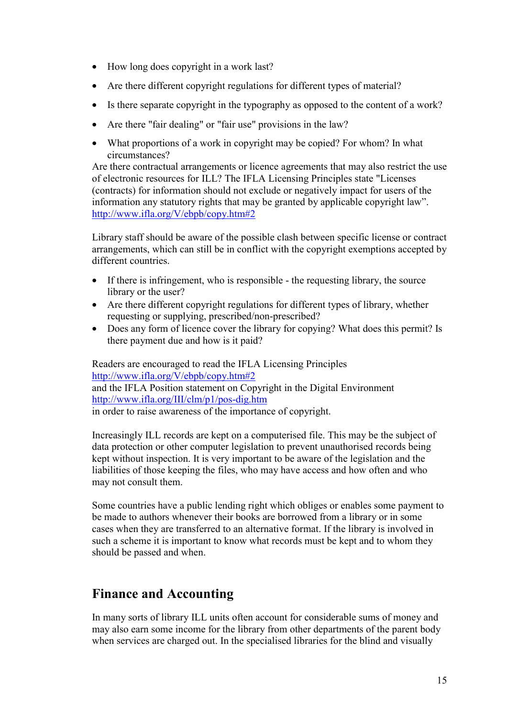- How long does copyright in a work last?
- Are there different copyright regulations for different types of material?
- Is there separate copyright in the typography as opposed to the content of a work?
- Are there "fair dealing" or "fair use" provisions in the law?
- What proportions of a work in copyright may be copied? For whom? In what circumstances?

Are there contractual arrangements or licence agreements that may also restrict the use of electronic resources for ILL? The IFLA Licensing Principles state "Licenses (contracts) for information should not exclude or negatively impact for users of the information any statutory rights that may be granted by applicable copyright law". http://www.ifla.org/V/ebpb/copy.htm#2

Library staff should be aware of the possible clash between specific license or contract arrangements, which can still be in conflict with the copyright exemptions accepted by different countries.

- If there is infringement, who is responsible the requesting library, the source library or the user?
- Are there different copyright regulations for different types of library, whether requesting or supplying, prescribed/non-prescribed?
- Does any form of licence cover the library for copying? What does this permit? Is there payment due and how is it paid?

Readers are encouraged to read the IFLA Licensing Principles http://www.ifla.org/V/ebpb/copy.htm#2 and the IFLA Position statement on Copyright in the Digital Environment http://www.ifla.org/III/clm/p1/pos-dig.htm in order to raise awareness of the importance of copyright.

Increasingly ILL records are kept on a computerised file. This may be the subject of data protection or other computer legislation to prevent unauthorised records being kept without inspection. It is very important to be aware of the legislation and the liabilities of those keeping the files, who may have access and how often and who may not consult them.

Some countries have a public lending right which obliges or enables some payment to be made to authors whenever their books are borrowed from a library or in some cases when they are transferred to an alternative format. If the library is involved in such a scheme it is important to know what records must be kept and to whom they should be passed and when.

### **Finance and Accounting**

In many sorts of library ILL units often account for considerable sums of money and may also earn some income for the library from other departments of the parent body when services are charged out. In the specialised libraries for the blind and visually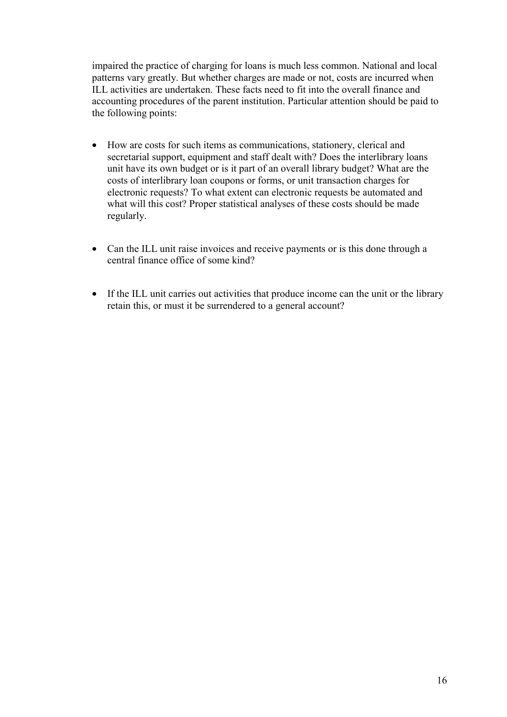impaired the practice of charging for loans is much less common. National and local patterns vary greatly. But whether charges are made or not, costs are incurred when ILL activities are undertaken. These facts need to fit into the overall finance and accounting procedures of the parent institution. Particular attention should be paid to the following points:

- How are costs for such items as communications, stationery, clerical and secretarial support, equipment and staff dealt with? Does the interlibrary loans unit have its own budget or is it part of an overall library budget? What are the costs of interlibrary loan coupons or forms, or unit transaction charges for electronic requests? To what extent can electronic requests be automated and what will this cost? Proper statistical analyses of these costs should be made regularly.
- Can the ILL unit raise invoices and receive payments or is this done through a central finance office of some kind?
- If the ILL unit carries out activities that produce income can the unit or the library retain this, or must it be surrendered to a general account?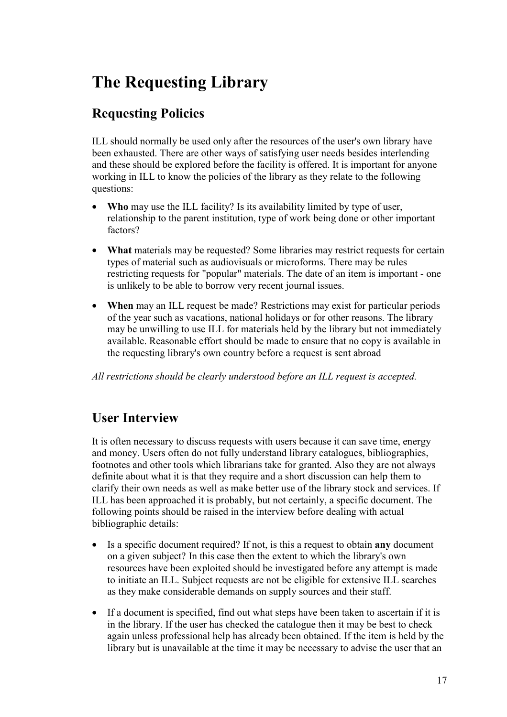# **The Requesting Library**

## **Requesting Policies**

ILL should normally be used only after the resources of the user's own library have been exhausted. There are other ways of satisfying user needs besides interlending and these should be explored before the facility is offered. It is important for anyone working in ILL to know the policies of the library as they relate to the following questions:

- Who may use the ILL facility? Is its availability limited by type of user, relationship to the parent institution, type of work being done or other important factors?
- **What** materials may be requested? Some libraries may restrict requests for certain types of material such as audiovisuals or microforms. There may be rules restricting requests for "popular" materials. The date of an item is important - one is unlikely to be able to borrow very recent journal issues.
- When may an ILL request be made? Restrictions may exist for particular periods of the year such as vacations, national holidays or for other reasons. The library may be unwilling to use ILL for materials held by the library but not immediately available. Reasonable effort should be made to ensure that no copy is available in the requesting library's own country before a request is sent abroad

*All restrictions should be clearly understood before an ILL request is accepted.*

## **User Interview**

It is often necessary to discuss requests with users because it can save time, energy and money. Users often do not fully understand library catalogues, bibliographies, footnotes and other tools which librarians take for granted. Also they are not always definite about what it is that they require and a short discussion can help them to clarify their own needs as well as make better use of the library stock and services. If ILL has been approached it is probably, but not certainly, a specific document. The following points should be raised in the interview before dealing with actual bibliographic details:

- Is a specific document required? If not, is this a request to obtain **any** document on a given subject? In this case then the extent to which the library's own resources have been exploited should be investigated before any attempt is made to initiate an ILL. Subject requests are not be eligible for extensive ILL searches as they make considerable demands on supply sources and their staff.
- If a document is specified, find out what steps have been taken to ascertain if it is in the library. If the user has checked the catalogue then it may be best to check again unless professional help has already been obtained. If the item is held by the library but is unavailable at the time it may be necessary to advise the user that an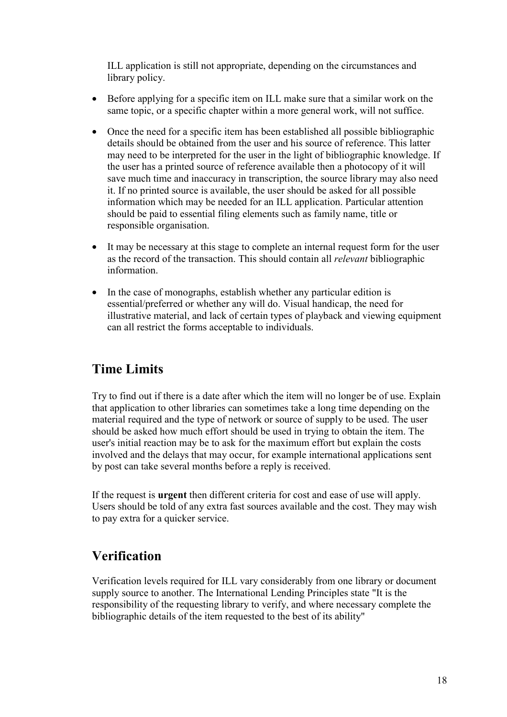ILL application is still not appropriate, depending on the circumstances and library policy.

- Before applying for a specific item on ILL make sure that a similar work on the same topic, or a specific chapter within a more general work, will not suffice.
- Once the need for a specific item has been established all possible bibliographic details should be obtained from the user and his source of reference. This latter may need to be interpreted for the user in the light of bibliographic knowledge. If the user has a printed source of reference available then a photocopy of it will save much time and inaccuracy in transcription, the source library may also need it. If no printed source is available, the user should be asked for all possible information which may be needed for an ILL application. Particular attention should be paid to essential filing elements such as family name, title or responsible organisation.
- It may be necessary at this stage to complete an internal request form for the user as the record of the transaction. This should contain all *relevant* bibliographic information.
- In the case of monographs, establish whether any particular edition is essential/preferred or whether any will do. Visual handicap, the need for illustrative material, and lack of certain types of playback and viewing equipment can all restrict the forms acceptable to individuals.

### **Time Limits**

Try to find out if there is a date after which the item will no longer be of use. Explain that application to other libraries can sometimes take a long time depending on the material required and the type of network or source of supply to be used. The user should be asked how much effort should be used in trying to obtain the item. The user's initial reaction may be to ask for the maximum effort but explain the costs involved and the delays that may occur, for example international applications sent by post can take several months before a reply is received.

If the request is **urgent** then different criteria for cost and ease of use will apply. Users should be told of any extra fast sources available and the cost. They may wish to pay extra for a quicker service.

### **Verification**

Verification levels required for ILL vary considerably from one library or document supply source to another. The International Lending Principles state "It is the responsibility of the requesting library to verify, and where necessary complete the bibliographic details of the item requested to the best of its ability"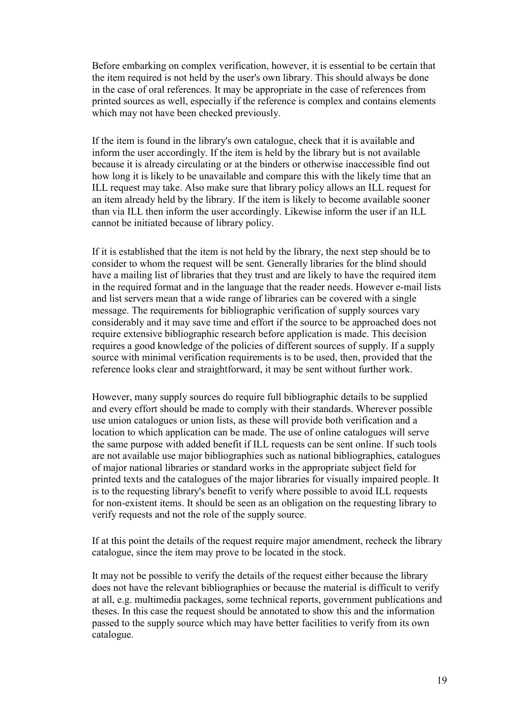Before embarking on complex verification, however, it is essential to be certain that the item required is not held by the user's own library. This should always be done in the case of oral references. It may be appropriate in the case of references from printed sources as well, especially if the reference is complex and contains elements which may not have been checked previously.

If the item is found in the library's own catalogue, check that it is available and inform the user accordingly. If the item is held by the library but is not available because it is already circulating or at the binders or otherwise inaccessible find out how long it is likely to be unavailable and compare this with the likely time that an ILL request may take. Also make sure that library policy allows an ILL request for an item already held by the library. If the item is likely to become available sooner than via ILL then inform the user accordingly. Likewise inform the user if an ILL cannot be initiated because of library policy.

If it is established that the item is not held by the library, the next step should be to consider to whom the request will be sent. Generally libraries for the blind should have a mailing list of libraries that they trust and are likely to have the required item in the required format and in the language that the reader needs. However e-mail lists and list servers mean that a wide range of libraries can be covered with a single message. The requirements for bibliographic verification of supply sources vary considerably and it may save time and effort if the source to be approached does not require extensive bibliographic research before application is made. This decision requires a good knowledge of the policies of different sources of supply. If a supply source with minimal verification requirements is to be used, then, provided that the reference looks clear and straightforward, it may be sent without further work.

However, many supply sources do require full bibliographic details to be supplied and every effort should be made to comply with their standards. Wherever possible use union catalogues or union lists, as these will provide both verification and a location to which application can be made. The use of online catalogues will serve the same purpose with added benefit if ILL requests can be sent online. If such tools are not available use major bibliographies such as national bibliographies, catalogues of major national libraries or standard works in the appropriate subject field for printed texts and the catalogues of the major libraries for visually impaired people. It is to the requesting library's benefit to verify where possible to avoid ILL requests for non-existent items. It should be seen as an obligation on the requesting library to verify requests and not the role of the supply source.

If at this point the details of the request require major amendment, recheck the library catalogue, since the item may prove to be located in the stock.

It may not be possible to verify the details of the request either because the library does not have the relevant bibliographies or because the material is difficult to verify at all, e.g. multimedia packages, some technical reports, government publications and theses. In this case the request should be annotated to show this and the information passed to the supply source which may have better facilities to verify from its own catalogue.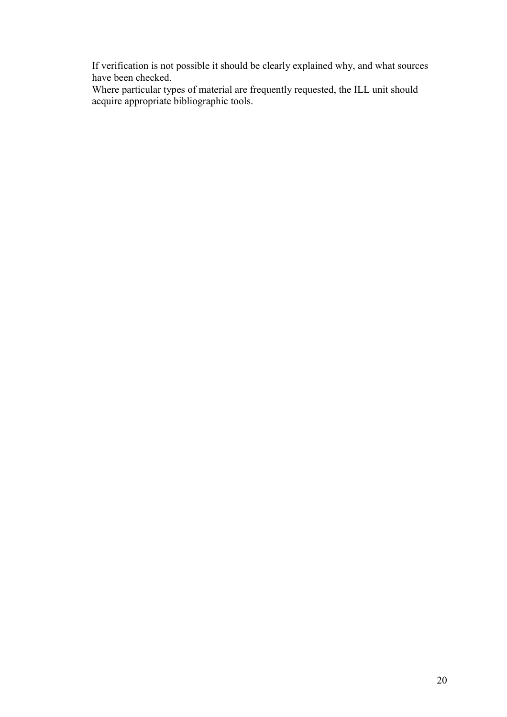If verification is not possible it should be clearly explained why, and what sources have been checked.

Where particular types of material are frequently requested, the ILL unit should acquire appropriate bibliographic tools.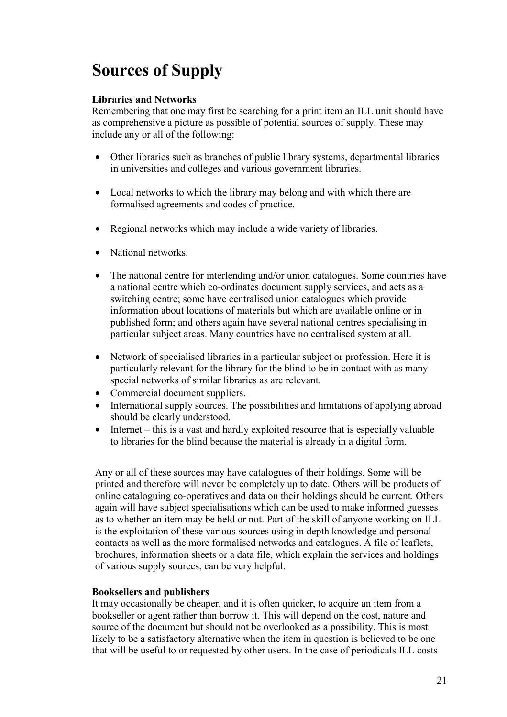# **Sources of Supply**

#### **Libraries and Networks**

Remembering that one may first be searching for a print item an ILL unit should have as comprehensive a picture as possible of potential sources of supply. These may include any or all of the following:

- Other libraries such as branches of public library systems, departmental libraries in universities and colleges and various government libraries.
- Local networks to which the library may belong and with which there are formalised agreements and codes of practice.
- Regional networks which may include a wide variety of libraries.
- National networks.
- The national centre for interlending and/or union catalogues. Some countries have a national centre which co-ordinates document supply services, and acts as a switching centre; some have centralised union catalogues which provide information about locations of materials but which are available online or in published form; and others again have several national centres specialising in particular subject areas. Many countries have no centralised system at all.
- Network of specialised libraries in a particular subject or profession. Here it is particularly relevant for the library for the blind to be in contact with as many special networks of similar libraries as are relevant.
- Commercial document suppliers.
- International supply sources. The possibilities and limitations of applying abroad should be clearly understood.
- Internet this is a vast and hardly exploited resource that is especially valuable to libraries for the blind because the material is already in a digital form.

Any or all of these sources may have catalogues of their holdings. Some will be printed and therefore will never be completely up to date. Others will be products of online cataloguing co-operatives and data on their holdings should be current. Others again will have subject specialisations which can be used to make informed guesses as to whether an item may be held or not. Part of the skill of anyone working on ILL is the exploitation of these various sources using in depth knowledge and personal contacts as well as the more formalised networks and catalogues. A file of leaflets, brochures, information sheets or a data file, which explain the services and holdings of various supply sources, can be very helpful.

#### **Booksellers and publishers**

It may occasionally be cheaper, and it is often quicker, to acquire an item from a bookseller or agent rather than borrow it. This will depend on the cost, nature and source of the document but should not be overlooked as a possibility. This is most likely to be a satisfactory alternative when the item in question is believed to be one that will be useful to or requested by other users. In the case of periodicals ILL costs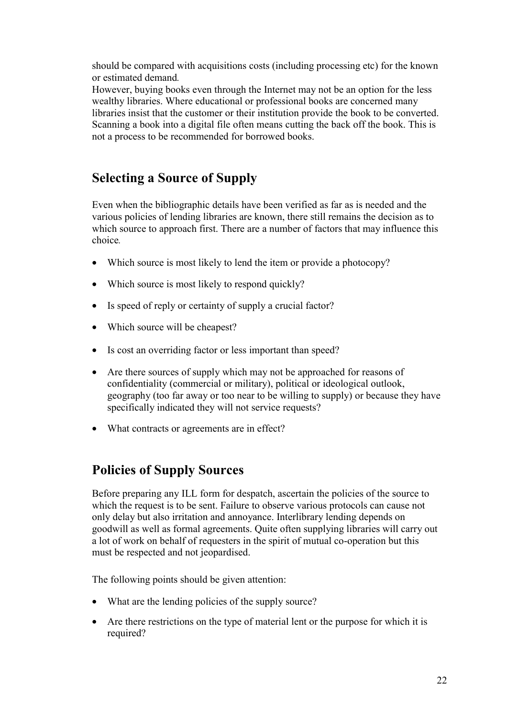should be compared with acquisitions costs (including processing etc) for the known or estimated demand*.*

However, buying books even through the Internet may not be an option for the less wealthy libraries. Where educational or professional books are concerned many libraries insist that the customer or their institution provide the book to be converted. Scanning a book into a digital file often means cutting the back off the book. This is not a process to be recommended for borrowed books.

## **Selecting a Source of Supply**

Even when the bibliographic details have been verified as far as is needed and the various policies of lending libraries are known, there still remains the decision as to which source to approach first. There are a number of factors that may influence this choice*.*

- Which source is most likely to lend the item or provide a photocopy?
- Which source is most likely to respond quickly?
- Is speed of reply or certainty of supply a crucial factor?
- Which source will be cheapest?
- Is cost an overriding factor or less important than speed?
- Are there sources of supply which may not be approached for reasons of confidentiality (commercial or military), political or ideological outlook, geography (too far away or too near to be willing to supply) or because they have specifically indicated they will not service requests?
- What contracts or agreements are in effect?

### **Policies of Supply Sources**

Before preparing any ILL form for despatch, ascertain the policies of the source to which the request is to be sent. Failure to observe various protocols can cause not only delay but also irritation and annoyance. Interlibrary lending depends on goodwill as well as formal agreements. Quite often supplying libraries will carry out a lot of work on behalf of requesters in the spirit of mutual co-operation but this must be respected and not jeopardised.

The following points should be given attention:

- What are the lending policies of the supply source?
- Are there restrictions on the type of material lent or the purpose for which it is required?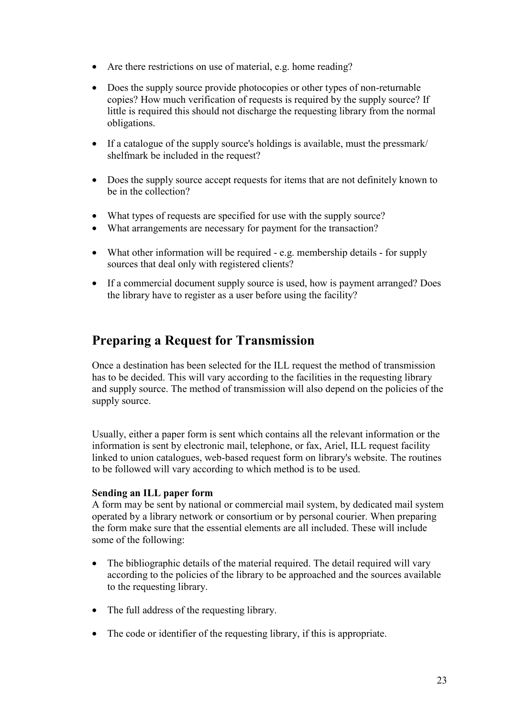- Are there restrictions on use of material, e.g. home reading?
- Does the supply source provide photocopies or other types of non-returnable copies? How much verification of requests is required by the supply source? If little is required this should not discharge the requesting library from the normal obligations.
- If a catalogue of the supply source's holdings is available, must the pressmark/ shelfmark be included in the request?
- Does the supply source accept requests for items that are not definitely known to be in the collection?
- What types of requests are specified for use with the supply source?
- What arrangements are necessary for payment for the transaction?
- What other information will be required e.g. membership details for supply sources that deal only with registered clients?
- If a commercial document supply source is used, how is payment arranged? Does the library have to register as a user before using the facility?

### **Preparing a Request for Transmission**

Once a destination has been selected for the ILL request the method of transmission has to be decided. This will vary according to the facilities in the requesting library and supply source. The method of transmission will also depend on the policies of the supply source.

Usually, either a paper form is sent which contains all the relevant information or the information is sent by electronic mail, telephone, or fax, Ariel, ILL request facility linked to union catalogues, web-based request form on library's website. The routines to be followed will vary according to which method is to be used.

#### **Sending an ILL paper form**

A form may be sent by national or commercial mail system, by dedicated mail system operated by a library network or consortium or by personal courier. When preparing the form make sure that the essential elements are all included. These will include some of the following:

- The bibliographic details of the material required. The detail required will vary according to the policies of the library to be approached and the sources available to the requesting library.
- The full address of the requesting library.
- The code or identifier of the requesting library, if this is appropriate.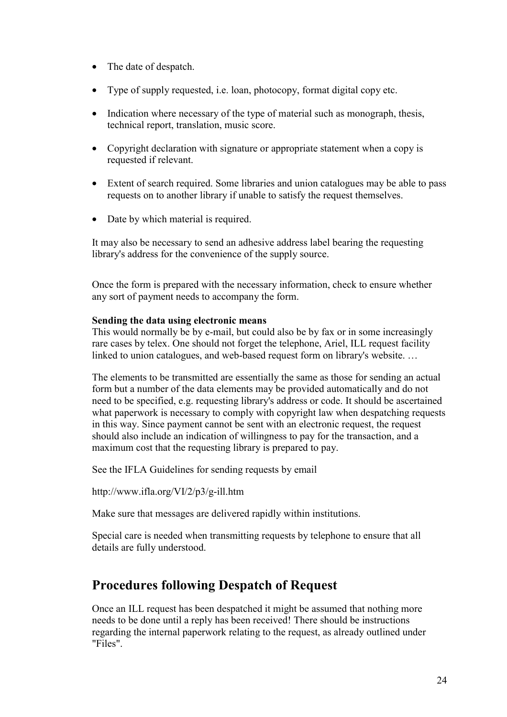- The date of despatch.
- Type of supply requested, i.e. loan, photocopy, format digital copy etc.
- Indication where necessary of the type of material such as monograph, thesis, technical report, translation, music score.
- Copyright declaration with signature or appropriate statement when a copy is requested if relevant.
- Extent of search required. Some libraries and union catalogues may be able to pass requests on to another library if unable to satisfy the request themselves.
- Date by which material is required.

It may also be necessary to send an adhesive address label bearing the requesting library's address for the convenience of the supply source.

Once the form is prepared with the necessary information, check to ensure whether any sort of payment needs to accompany the form.

#### **Sending the data using electronic means**

This would normally be by e-mail, but could also be by fax or in some increasingly rare cases by telex. One should not forget the telephone, Ariel, ILL request facility linked to union catalogues, and web-based request form on library's website. …

The elements to be transmitted are essentially the same as those for sending an actual form but a number of the data elements may be provided automatically and do not need to be specified, e.g. requesting library's address or code. It should be ascertained what paperwork is necessary to comply with copyright law when despatching requests in this way. Since payment cannot be sent with an electronic request, the request should also include an indication of willingness to pay for the transaction, and a maximum cost that the requesting library is prepared to pay.

See the IFLA Guidelines for sending requests by email

http://www.ifla.org/VI/2/p3/g-ill.htm

Make sure that messages are delivered rapidly within institutions.

Special care is needed when transmitting requests by telephone to ensure that all details are fully understood.

### **Procedures following Despatch of Request**

Once an ILL request has been despatched it might be assumed that nothing more needs to be done until a reply has been received! There should be instructions regarding the internal paperwork relating to the request, as already outlined under "Files".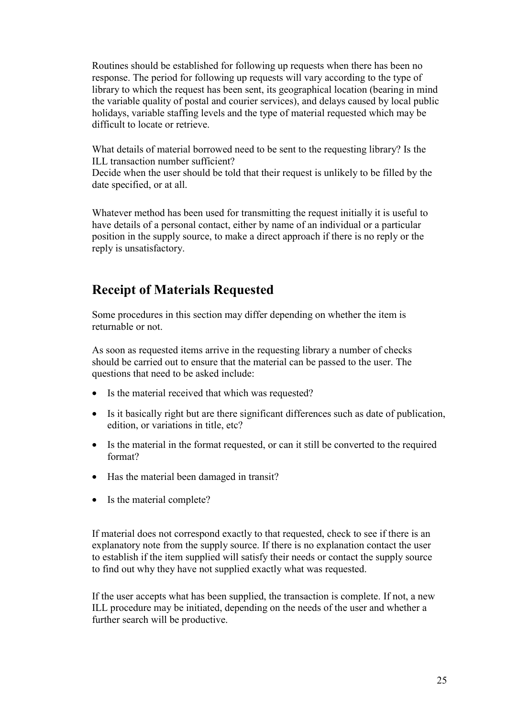Routines should be established for following up requests when there has been no response. The period for following up requests will vary according to the type of library to which the request has been sent, its geographical location (bearing in mind the variable quality of postal and courier services), and delays caused by local public holidays, variable staffing levels and the type of material requested which may be difficult to locate or retrieve.

What details of material borrowed need to be sent to the requesting library? Is the ILL transaction number sufficient?

Decide when the user should be told that their request is unlikely to be filled by the date specified, or at all.

Whatever method has been used for transmitting the request initially it is useful to have details of a personal contact, either by name of an individual or a particular position in the supply source, to make a direct approach if there is no reply or the reply is unsatisfactory.

### **Receipt of Materials Requested**

Some procedures in this section may differ depending on whether the item is returnable or not.

As soon as requested items arrive in the requesting library a number of checks should be carried out to ensure that the material can be passed to the user. The questions that need to be asked include:

- Is the material received that which was requested?
- Is it basically right but are there significant differences such as date of publication, edition, or variations in title, etc?
- Is the material in the format requested, or can it still be converted to the required format?
- Has the material been damaged in transit?
- Is the material complete?

If material does not correspond exactly to that requested, check to see if there is an explanatory note from the supply source. If there is no explanation contact the user to establish if the item supplied will satisfy their needs or contact the supply source to find out why they have not supplied exactly what was requested.

If the user accepts what has been supplied, the transaction is complete. If not, a new ILL procedure may be initiated, depending on the needs of the user and whether a further search will be productive.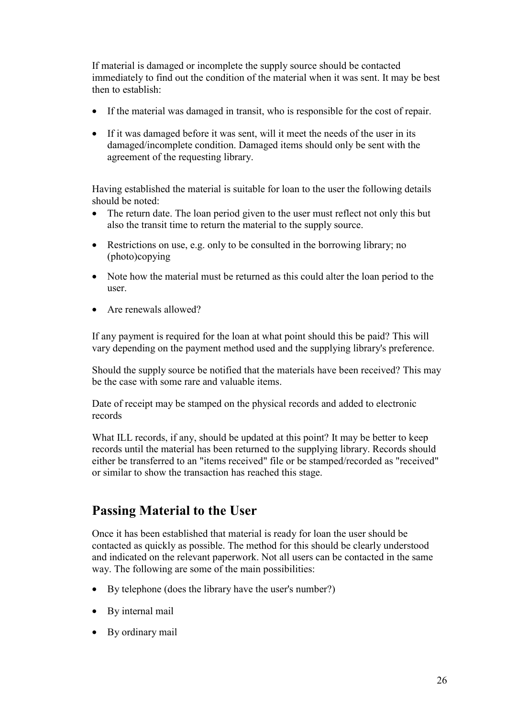If material is damaged or incomplete the supply source should be contacted immediately to find out the condition of the material when it was sent. It may be best then to establish:

- If the material was damaged in transit, who is responsible for the cost of repair.
- If it was damaged before it was sent, will it meet the needs of the user in its damaged/incomplete condition. Damaged items should only be sent with the agreement of the requesting library.

Having established the material is suitable for loan to the user the following details should be noted:

- The return date. The loan period given to the user must reflect not only this but also the transit time to return the material to the supply source.
- Restrictions on use, e.g. only to be consulted in the borrowing library; no (photo)copying
- Note how the material must be returned as this could alter the loan period to the user.
- Are renewals allowed?

If any payment is required for the loan at what point should this be paid? This will vary depending on the payment method used and the supplying library's preference.

Should the supply source be notified that the materials have been received? This may be the case with some rare and valuable items.

Date of receipt may be stamped on the physical records and added to electronic records

What ILL records, if any, should be updated at this point? It may be better to keep records until the material has been returned to the supplying library. Records should either be transferred to an "items received" file or be stamped/recorded as "received" or similar to show the transaction has reached this stage.

### **Passing Material to the User**

Once it has been established that material is ready for loan the user should be contacted as quickly as possible. The method for this should be clearly understood and indicated on the relevant paperwork. Not all users can be contacted in the same way. The following are some of the main possibilities:

- By telephone (does the library have the user's number?)
- By internal mail
- By ordinary mail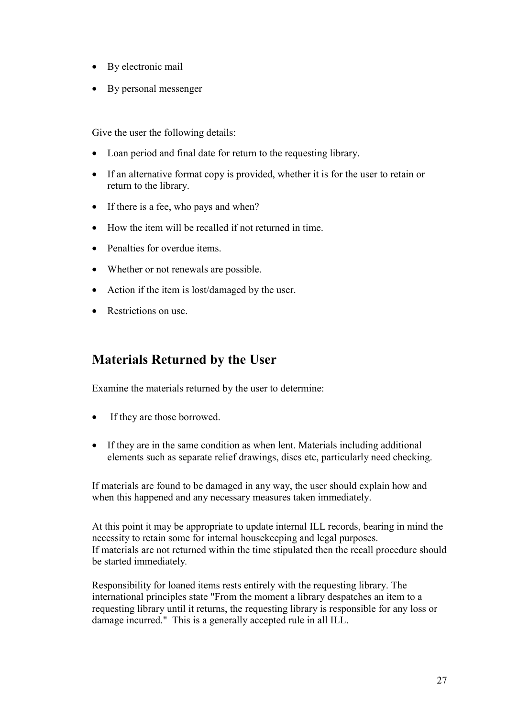- By electronic mail
- By personal messenger

Give the user the following details:

- Loan period and final date for return to the requesting library.
- If an alternative format copy is provided, whether it is for the user to retain or return to the library.
- If there is a fee, who pays and when?
- How the item will be recalled if not returned in time.
- Penalties for overdue items
- Whether or not renewals are possible.
- Action if the item is lost/damaged by the user.
- Restrictions on use

### **Materials Returned by the User**

Examine the materials returned by the user to determine:

- If they are those borrowed.
- If they are in the same condition as when lent. Materials including additional elements such as separate relief drawings, discs etc, particularly need checking.

If materials are found to be damaged in any way, the user should explain how and when this happened and any necessary measures taken immediately.

At this point it may be appropriate to update internal ILL records, bearing in mind the necessity to retain some for internal housekeeping and legal purposes. If materials are not returned within the time stipulated then the recall procedure should be started immediately*.*

Responsibility for loaned items rests entirely with the requesting library. The international principles state "From the moment a library despatches an item to a requesting library until it returns, the requesting library is responsible for any loss or damage incurred." This is a generally accepted rule in all ILL.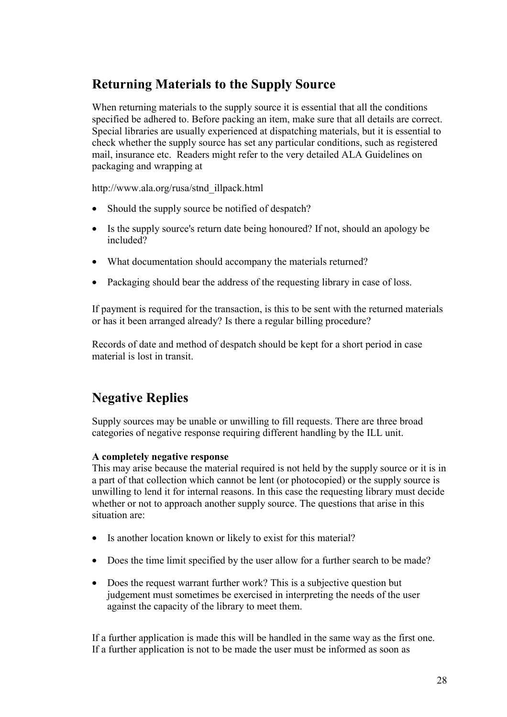## **Returning Materials to the Supply Source**

When returning materials to the supply source it is essential that all the conditions specified be adhered to. Before packing an item, make sure that all details are correct. Special libraries are usually experienced at dispatching materials, but it is essential to check whether the supply source has set any particular conditions, such as registered mail, insurance etc. Readers might refer to the very detailed ALA Guidelines on packaging and wrapping at

http://www.ala.org/rusa/stnd\_illpack.html

- Should the supply source be notified of despatch?
- Is the supply source's return date being honoured? If not, should an apology be included?
- What documentation should accompany the materials returned?
- Packaging should bear the address of the requesting library in case of loss.

If payment is required for the transaction, is this to be sent with the returned materials or has it been arranged already? Is there a regular billing procedure?

Records of date and method of despatch should be kept for a short period in case material is lost in transit.

## **Negative Replies**

Supply sources may be unable or unwilling to fill requests. There are three broad categories of negative response requiring different handling by the ILL unit.

#### **A completely negative response**

This may arise because the material required is not held by the supply source or it is in a part of that collection which cannot be lent (or photocopied) or the supply source is unwilling to lend it for internal reasons. In this case the requesting library must decide whether or not to approach another supply source. The questions that arise in this situation are:

- Is another location known or likely to exist for this material?
- Does the time limit specified by the user allow for a further search to be made?
- Does the request warrant further work? This is a subjective question but judgement must sometimes be exercised in interpreting the needs of the user against the capacity of the library to meet them.

If a further application is made this will be handled in the same way as the first one. If a further application is not to be made the user must be informed as soon as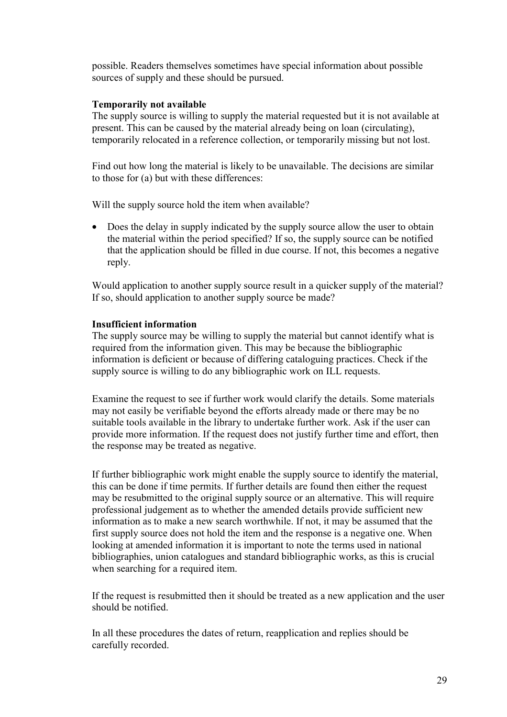possible. Readers themselves sometimes have special information about possible sources of supply and these should be pursued.

#### **Temporarily not available**

The supply source is willing to supply the material requested but it is not available at present. This can be caused by the material already being on loan (circulating), temporarily relocated in a reference collection, or temporarily missing but not lost.

Find out how long the material is likely to be unavailable. The decisions are similar to those for (a) but with these differences:

Will the supply source hold the item when available?

• Does the delay in supply indicated by the supply source allow the user to obtain the material within the period specified? If so, the supply source can be notified that the application should be filled in due course. If not, this becomes a negative reply.

Would application to another supply source result in a quicker supply of the material? If so, should application to another supply source be made?

#### **Insufficient information**

The supply source may be willing to supply the material but cannot identify what is required from the information given. This may be because the bibliographic information is deficient or because of differing cataloguing practices. Check if the supply source is willing to do any bibliographic work on ILL requests.

Examine the request to see if further work would clarify the details. Some materials may not easily be verifiable beyond the efforts already made or there may be no suitable tools available in the library to undertake further work. Ask if the user can provide more information. If the request does not justify further time and effort, then the response may be treated as negative.

If further bibliographic work might enable the supply source to identify the material, this can be done if time permits. If further details are found then either the request may be resubmitted to the original supply source or an alternative. This will require professional judgement as to whether the amended details provide sufficient new information as to make a new search worthwhile. If not, it may be assumed that the first supply source does not hold the item and the response is a negative one. When looking at amended information it is important to note the terms used in national bibliographies, union catalogues and standard bibliographic works, as this is crucial when searching for a required item.

If the request is resubmitted then it should be treated as a new application and the user should be notified.

In all these procedures the dates of return, reapplication and replies should be carefully recorded.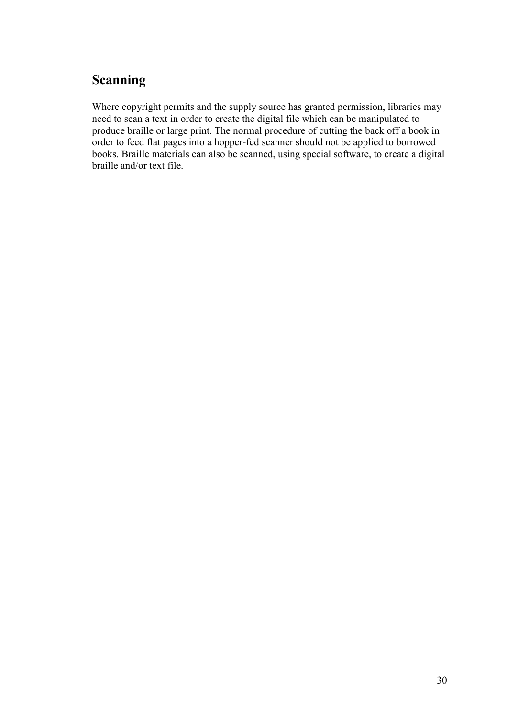### **Scanning**

Where copyright permits and the supply source has granted permission, libraries may need to scan a text in order to create the digital file which can be manipulated to produce braille or large print. The normal procedure of cutting the back off a book in order to feed flat pages into a hopper-fed scanner should not be applied to borrowed books. Braille materials can also be scanned, using special software, to create a digital braille and/or text file.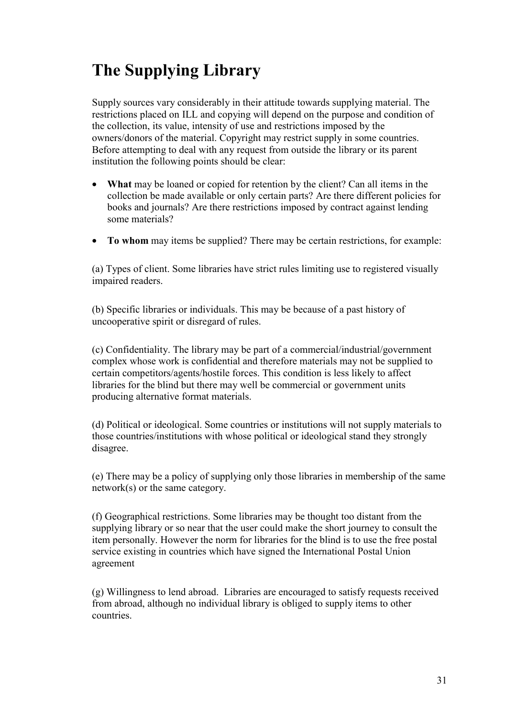# **The Supplying Library**

Supply sources vary considerably in their attitude towards supplying material. The restrictions placed on ILL and copying will depend on the purpose and condition of the collection, its value, intensity of use and restrictions imposed by the owners/donors of the material. Copyright may restrict supply in some countries. Before attempting to deal with any request from outside the library or its parent institution the following points should be clear:

- **What** may be loaned or copied for retention by the client? Can all items in the collection be made available or only certain parts? Are there different policies for books and journals? Are there restrictions imposed by contract against lending some materials?
- **To whom** may items be supplied? There may be certain restrictions, for example:

(a) Types of client. Some libraries have strict rules limiting use to registered visually impaired readers.

(b) Specific libraries or individuals. This may be because of a past history of uncooperative spirit or disregard of rules.

(c) Confidentiality. The library may be part of a commercial/industrial/government complex whose work is confidential and therefore materials may not be supplied to certain competitors/agents/hostile forces. This condition is less likely to affect libraries for the blind but there may well be commercial or government units producing alternative format materials.

(d) Political or ideological. Some countries or institutions will not supply materials to those countries/institutions with whose political or ideological stand they strongly disagree.

(e) There may be a policy of supplying only those libraries in membership of the same network(s) or the same category.

(f) Geographical restrictions. Some libraries may be thought too distant from the supplying library or so near that the user could make the short journey to consult the item personally. However the norm for libraries for the blind is to use the free postal service existing in countries which have signed the International Postal Union agreement

(g) Willingness to lend abroad. Libraries are encouraged to satisfy requests received from abroad, although no individual library is obliged to supply items to other countries.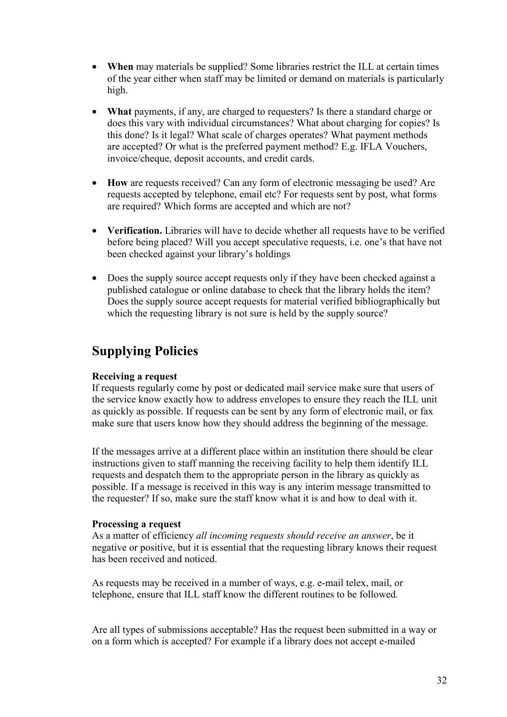- **When** may materials be supplied? Some libraries restrict the ILL at certain times of the year either when staff may be limited or demand on materials is particularly high.
- **What** payments, if any, are charged to requesters? Is there a standard charge or does this vary with individual circumstances? What about charging for copies? Is this done? Is it legal? What scale of charges operates? What payment methods are accepted? Or what is the preferred payment method? E.g. IFLA Vouchers, invoice/cheque, deposit accounts, and credit cards.
- **How** are requests received? Can any form of electronic messaging be used? Are requests accepted by telephone, email etc? For requests sent by post, what forms are required? Which forms are accepted and which are not?
- Verification. Libraries will have to decide whether all requests have to be verified before being placed? Will you accept speculative requests, i.e. one's that have not been checked against your library's holdings
- Does the supply source accept requests only if they have been checked against a published catalogue or online database to check that the library holds the item? Does the supply source accept requests for material verified bibliographically but which the requesting library is not sure is held by the supply source?

### **Supplying Policies**

#### **Receiving a request**

If requests regularly come by post or dedicated mail service make sure that users of the service know exactly how to address envelopes to ensure they reach the ILL unit as quickly as possible. If requests can be sent by any form of electronic mail, or fax make sure that users know how they should address the beginning of the message.

If the messages arrive at a different place within an institution there should be clear instructions given to staff manning the receiving facility to help them identify ILL requests and despatch them to the appropriate person in the library as quickly as possible. If a message is received in this way is any interim message transmitted to the requester? If so, make sure the staff know what it is and how to deal with it.

#### **Processing a request**

As a matter of efficiency *all incoming requests should receive an answer*, be it negative or positive, but it is essential that the requesting library knows their request has been received and noticed.

As requests may be received in a number of ways, e.g. e-mail telex, mail, or telephone, ensure that ILL staff know the different routines to be followed*.*

Are all types of submissions acceptable? Has the request been submitted in a way or on a form which is accepted? For example if a library does not accept e-mailed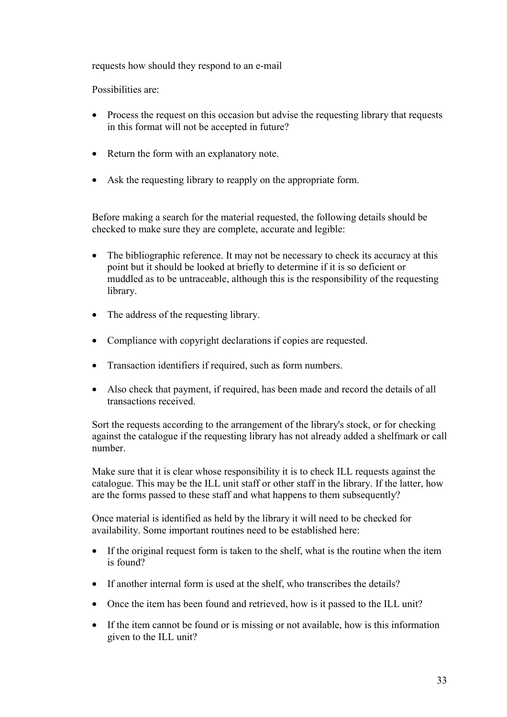requests how should they respond to an e-mail

Possibilities are:

- Process the request on this occasion but advise the requesting library that requests in this format will not be accepted in future?
- Return the form with an explanatory note.
- Ask the requesting library to reapply on the appropriate form.

Before making a search for the material requested, the following details should be checked to make sure they are complete, accurate and legible:

- The bibliographic reference. It may not be necessary to check its accuracy at this point but it should be looked at briefly to determine if it is so deficient or muddled as to be untraceable, although this is the responsibility of the requesting library.
- The address of the requesting library.
- Compliance with copyright declarations if copies are requested.
- Transaction identifiers if required, such as form numbers.
- Also check that payment, if required, has been made and record the details of all transactions received.

Sort the requests according to the arrangement of the library's stock, or for checking against the catalogue if the requesting library has not already added a shelfmark or call number.

Make sure that it is clear whose responsibility it is to check ILL requests against the catalogue. This may be the ILL unit staff or other staff in the library. If the latter, how are the forms passed to these staff and what happens to them subsequently?

Once material is identified as held by the library it will need to be checked for availability. Some important routines need to be established here:

- If the original request form is taken to the shelf, what is the routine when the item is found?
- If another internal form is used at the shelf, who transcribes the details?
- Once the item has been found and retrieved, how is it passed to the ILL unit?
- If the item cannot be found or is missing or not available, how is this information given to the ILL unit?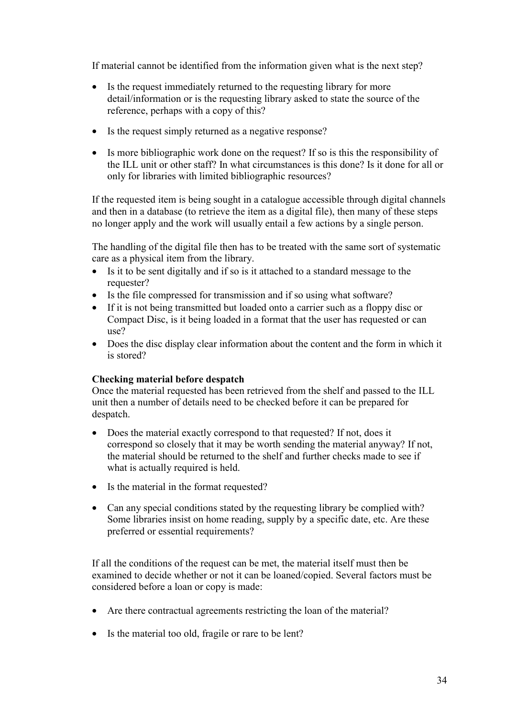If material cannot be identified from the information given what is the next step?

- Is the request immediately returned to the requesting library for more detail/information or is the requesting library asked to state the source of the reference, perhaps with a copy of this?
- Is the request simply returned as a negative response?
- Is more bibliographic work done on the request? If so is this the responsibility of the ILL unit or other staff? In what circumstances is this done? Is it done for all or only for libraries with limited bibliographic resources?

If the requested item is being sought in a catalogue accessible through digital channels and then in a database (to retrieve the item as a digital file), then many of these steps no longer apply and the work will usually entail a few actions by a single person.

The handling of the digital file then has to be treated with the same sort of systematic care as a physical item from the library.

- Is it to be sent digitally and if so is it attached to a standard message to the requester?
- Is the file compressed for transmission and if so using what software?
- If it is not being transmitted but loaded onto a carrier such as a floppy disc or Compact Disc, is it being loaded in a format that the user has requested or can use?
- Does the disc display clear information about the content and the form in which it is stored?

#### **Checking material before despatch**

Once the material requested has been retrieved from the shelf and passed to the ILL unit then a number of details need to be checked before it can be prepared for despatch.

- Does the material exactly correspond to that requested? If not, does it correspond so closely that it may be worth sending the material anyway? If not, the material should be returned to the shelf and further checks made to see if what is actually required is held.
- Is the material in the format requested?
- Can any special conditions stated by the requesting library be complied with? Some libraries insist on home reading, supply by a specific date, etc. Are these preferred or essential requirements?

If all the conditions of the request can be met, the material itself must then be examined to decide whether or not it can be loaned/copied. Several factors must be considered before a loan or copy is made:

- Are there contractual agreements restricting the loan of the material?
- Is the material too old, fragile or rare to be lent?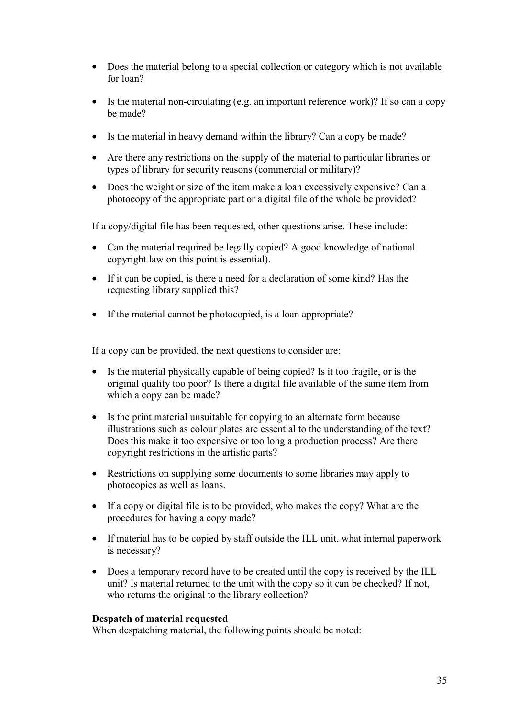- Does the material belong to a special collection or category which is not available for loan?
- Is the material non-circulating (e.g. an important reference work)? If so can a copy be made?
- Is the material in heavy demand within the library? Can a copy be made?
- Are there any restrictions on the supply of the material to particular libraries or types of library for security reasons (commercial or military)?
- Does the weight or size of the item make a loan excessively expensive? Can a photocopy of the appropriate part or a digital file of the whole be provided?

If a copy/digital file has been requested, other questions arise. These include:

- Can the material required be legally copied? A good knowledge of national copyright law on this point is essential).
- If it can be copied, is there a need for a declaration of some kind? Has the requesting library supplied this?
- If the material cannot be photocopied, is a loan appropriate?

If a copy can be provided, the next questions to consider are:

- Is the material physically capable of being copied? Is it too fragile, or is the original quality too poor? Is there a digital file available of the same item from which a copy can be made?
- Is the print material unsuitable for copying to an alternate form because illustrations such as colour plates are essential to the understanding of the text? Does this make it too expensive or too long a production process? Are there copyright restrictions in the artistic parts?
- Restrictions on supplying some documents to some libraries may apply to photocopies as well as loans.
- If a copy or digital file is to be provided, who makes the copy? What are the procedures for having a copy made?
- If material has to be copied by staff outside the ILL unit, what internal paperwork is necessary?
- Does a temporary record have to be created until the copy is received by the ILL unit? Is material returned to the unit with the copy so it can be checked? If not, who returns the original to the library collection?

#### **Despatch of material requested**

When despatching material, the following points should be noted: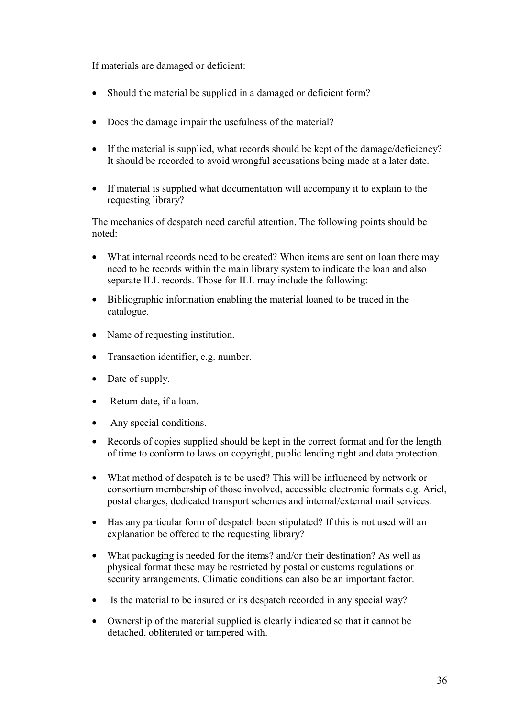If materials are damaged or deficient:

- Should the material be supplied in a damaged or deficient form?
- Does the damage impair the usefulness of the material?
- If the material is supplied, what records should be kept of the damage/deficiency? It should be recorded to avoid wrongful accusations being made at a later date.
- If material is supplied what documentation will accompany it to explain to the requesting library?

The mechanics of despatch need careful attention. The following points should be noted:

- What internal records need to be created? When items are sent on loan there may need to be records within the main library system to indicate the loan and also separate ILL records. Those for ILL may include the following:
- Bibliographic information enabling the material loaned to be traced in the catalogue.
- Name of requesting institution.
- Transaction identifier, e.g. number.
- Date of supply.
- Return date, if a loan.
- Any special conditions.
- Records of copies supplied should be kept in the correct format and for the length of time to conform to laws on copyright, public lending right and data protection.
- What method of despatch is to be used? This will be influenced by network or consortium membership of those involved, accessible electronic formats e.g. Ariel, postal charges, dedicated transport schemes and internal/external mail services.
- Has any particular form of despatch been stipulated? If this is not used will an explanation be offered to the requesting library?
- What packaging is needed for the items? and/or their destination? As well as physical format these may be restricted by postal or customs regulations or security arrangements. Climatic conditions can also be an important factor.
- Is the material to be insured or its despatch recorded in any special way?
- Ownership of the material supplied is clearly indicated so that it cannot be detached, obliterated or tampered with.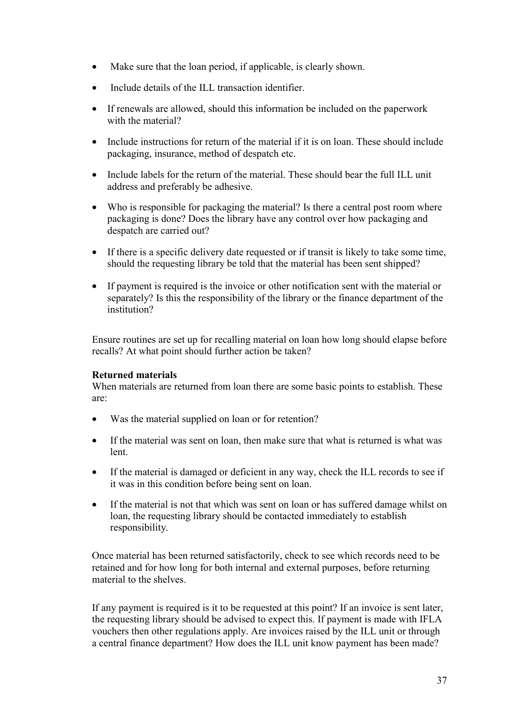- Make sure that the loan period, if applicable, is clearly shown.
- Include details of the ILL transaction identifier.
- If renewals are allowed, should this information be included on the paperwork with the material?
- Include instructions for return of the material if it is on loan. These should include packaging, insurance, method of despatch etc.
- Include labels for the return of the material. These should bear the full ILL unit address and preferably be adhesive.
- Who is responsible for packaging the material? Is there a central post room where packaging is done? Does the library have any control over how packaging and despatch are carried out?
- If there is a specific delivery date requested or if transit is likely to take some time, should the requesting library be told that the material has been sent shipped?
- If payment is required is the invoice or other notification sent with the material or separately? Is this the responsibility of the library or the finance department of the institution?

Ensure routines are set up for recalling material on loan how long should elapse before recalls? At what point should further action be taken?

#### **Returned materials**

When materials are returned from loan there are some basic points to establish. These are:

- Was the material supplied on loan or for retention?
- If the material was sent on loan, then make sure that what is returned is what was lent.
- If the material is damaged or deficient in any way, check the ILL records to see if it was in this condition before being sent on loan.
- If the material is not that which was sent on loan or has suffered damage whilst on loan, the requesting library should be contacted immediately to establish responsibility.

Once material has been returned satisfactorily, check to see which records need to be retained and for how long for both internal and external purposes, before returning material to the shelves.

If any payment is required is it to be requested at this point? If an invoice is sent later, the requesting library should be advised to expect this. If payment is made with IFLA vouchers then other regulations apply. Are invoices raised by the ILL unit or through a central finance department? How does the ILL unit know payment has been made?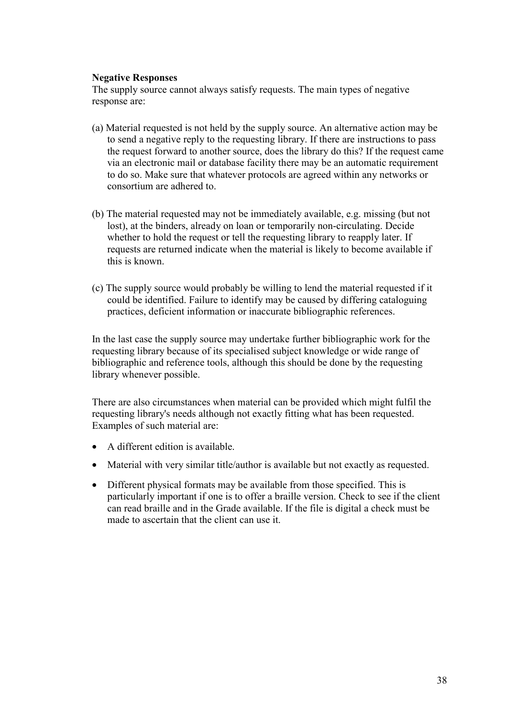#### **Negative Responses**

The supply source cannot always satisfy requests. The main types of negative response are:

- (a) Material requested is not held by the supply source. An alternative action may be to send a negative reply to the requesting library. If there are instructions to pass the request forward to another source, does the library do this? If the request came via an electronic mail or database facility there may be an automatic requirement to do so. Make sure that whatever protocols are agreed within any networks or consortium are adhered to.
- (b) The material requested may not be immediately available, e.g. missing (but not lost), at the binders, already on loan or temporarily non-circulating. Decide whether to hold the request or tell the requesting library to reapply later. If requests are returned indicate when the material is likely to become available if this is known.
- (c) The supply source would probably be willing to lend the material requested if it could be identified. Failure to identify may be caused by differing cataloguing practices, deficient information or inaccurate bibliographic references.

In the last case the supply source may undertake further bibliographic work for the requesting library because of its specialised subject knowledge or wide range of bibliographic and reference tools, although this should be done by the requesting library whenever possible.

There are also circumstances when material can be provided which might fulfil the requesting library's needs although not exactly fitting what has been requested. Examples of such material are:

- A different edition is available.
- Material with very similar title/author is available but not exactly as requested.
- Different physical formats may be available from those specified. This is particularly important if one is to offer a braille version. Check to see if the client can read braille and in the Grade available. If the file is digital a check must be made to ascertain that the client can use it.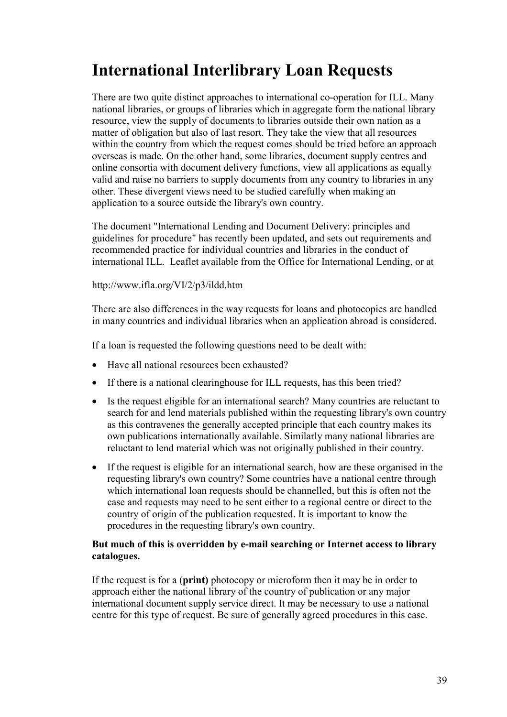# **International Interlibrary Loan Requests**

There are two quite distinct approaches to international co-operation for ILL. Many national libraries, or groups of libraries which in aggregate form the national library resource, view the supply of documents to libraries outside their own nation as a matter of obligation but also of last resort. They take the view that all resources within the country from which the request comes should be tried before an approach overseas is made. On the other hand, some libraries, document supply centres and online consortia with document delivery functions, view all applications as equally valid and raise no barriers to supply documents from any country to libraries in any other. These divergent views need to be studied carefully when making an application to a source outside the library's own country.

The document "International Lending and Document Delivery: principles and guidelines for procedure" has recently been updated, and sets out requirements and recommended practice for individual countries and libraries in the conduct of international ILL. Leaflet available from the Office for International Lending, or at

#### http://www.ifla.org/VI/2/p3/ildd.htm

There are also differences in the way requests for loans and photocopies are handled in many countries and individual libraries when an application abroad is considered.

If a loan is requested the following questions need to be dealt with:

- Have all national resources been exhausted?
- If there is a national clearinghouse for ILL requests, has this been tried?
- Is the request eligible for an international search? Many countries are reluctant to search for and lend materials published within the requesting library's own country as this contravenes the generally accepted principle that each country makes its own publications internationally available. Similarly many national libraries are reluctant to lend material which was not originally published in their country.
- If the request is eligible for an international search, how are these organised in the requesting library's own country? Some countries have a national centre through which international loan requests should be channelled, but this is often not the case and requests may need to be sent either to a regional centre or direct to the country of origin of the publication requested. It is important to know the procedures in the requesting library's own country.

#### **But much of this is overridden by e-mail searching or Internet access to library catalogues.**

If the request is for a (**print)** photocopy or microform then it may be in order to approach either the national library of the country of publication or any major international document supply service direct. It may be necessary to use a national centre for this type of request. Be sure of generally agreed procedures in this case.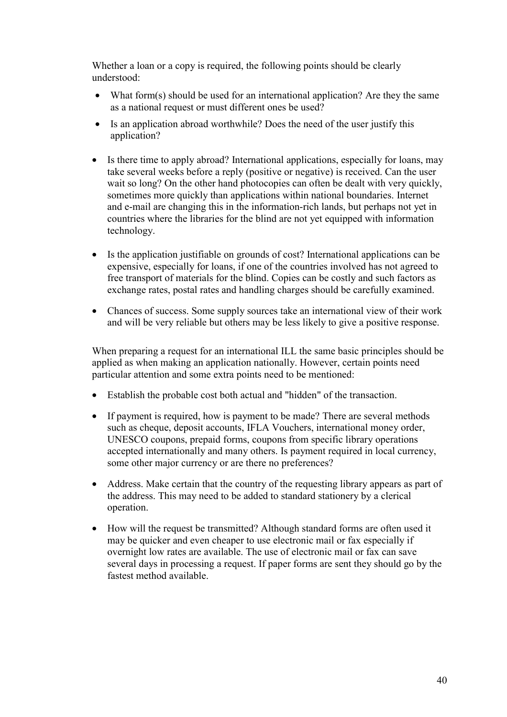Whether a loan or a copy is required, the following points should be clearly understood:

- What form(s) should be used for an international application? Are they the same as a national request or must different ones be used?
- Is an application abroad worthwhile? Does the need of the user justify this application?
- Is there time to apply abroad? International applications, especially for loans, may take several weeks before a reply (positive or negative) is received. Can the user wait so long? On the other hand photocopies can often be dealt with very quickly, sometimes more quickly than applications within national boundaries. Internet and e-mail are changing this in the information-rich lands, but perhaps not yet in countries where the libraries for the blind are not yet equipped with information technology.
- Is the application justifiable on grounds of cost? International applications can be expensive, especially for loans, if one of the countries involved has not agreed to free transport of materials for the blind. Copies can be costly and such factors as exchange rates, postal rates and handling charges should be carefully examined.
- Chances of success. Some supply sources take an international view of their work and will be very reliable but others may be less likely to give a positive response.

When preparing a request for an international ILL the same basic principles should be applied as when making an application nationally. However, certain points need particular attention and some extra points need to be mentioned:

- Establish the probable cost both actual and "hidden" of the transaction.
- If payment is required, how is payment to be made? There are several methods such as cheque, deposit accounts, IFLA Vouchers, international money order, UNESCO coupons, prepaid forms, coupons from specific library operations accepted internationally and many others. Is payment required in local currency, some other major currency or are there no preferences?
- Address. Make certain that the country of the requesting library appears as part of the address. This may need to be added to standard stationery by a clerical operation.
- How will the request be transmitted? Although standard forms are often used it may be quicker and even cheaper to use electronic mail or fax especially if overnight low rates are available. The use of electronic mail or fax can save several days in processing a request. If paper forms are sent they should go by the fastest method available.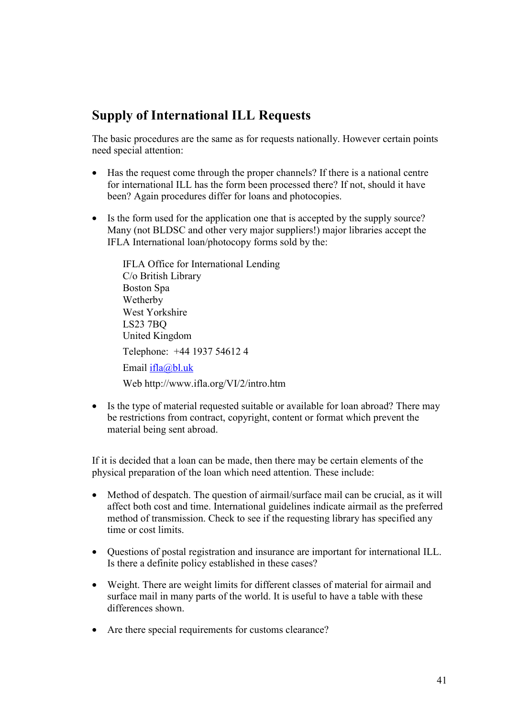### **Supply of International ILL Requests**

The basic procedures are the same as for requests nationally. However certain points need special attention:

- Has the request come through the proper channels? If there is a national centre for international ILL has the form been processed there? If not, should it have been? Again procedures differ for loans and photocopies.
- Is the form used for the application one that is accepted by the supply source? Many (not BLDSC and other very major suppliers!) major libraries accept the IFLA International loan/photocopy forms sold by the:

IFLA Office for International Lending C/o British Library Boston Spa Wetherby West Yorkshire LS23 7BQ United Kingdom Telephone: +44 1937 54612 4 Email ifla@bl.uk Web http://www.ifla.org/VI/2/intro.htm

• Is the type of material requested suitable or available for loan abroad? There may be restrictions from contract, copyright, content or format which prevent the material being sent abroad.

If it is decided that a loan can be made, then there may be certain elements of the physical preparation of the loan which need attention. These include:

- Method of despatch. The question of airmail/surface mail can be crucial, as it will affect both cost and time. International guidelines indicate airmail as the preferred method of transmission. Check to see if the requesting library has specified any time or cost limits.
- Questions of postal registration and insurance are important for international ILL. Is there a definite policy established in these cases?
- Weight. There are weight limits for different classes of material for airmail and surface mail in many parts of the world. It is useful to have a table with these differences shown.
- Are there special requirements for customs clearance?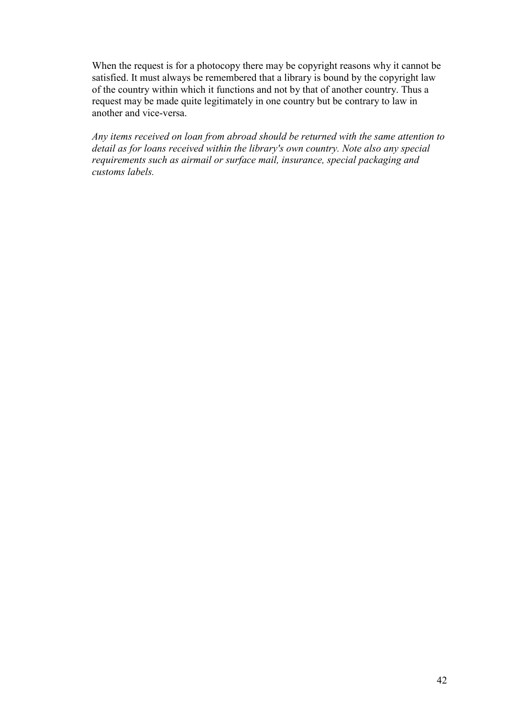When the request is for a photocopy there may be copyright reasons why it cannot be satisfied. It must always be remembered that a library is bound by the copyright law of the country within which it functions and not by that of another country. Thus a request may be made quite legitimately in one country but be contrary to law in another and vice-versa.

*Any items received on loan from abroad should be returned with the same attention to detail as for loans received within the library's own country. Note also any special requirements such as airmail or surface mail, insurance, special packaging and customs labels.*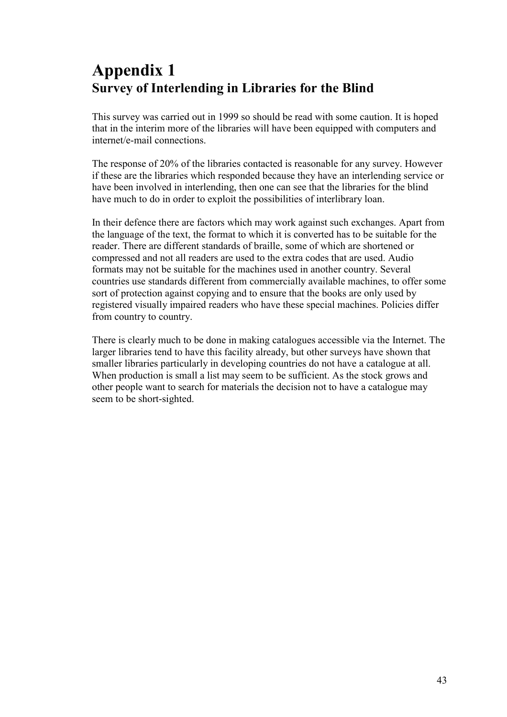# **Appendix 1 Survey of Interlending in Libraries for the Blind**

This survey was carried out in 1999 so should be read with some caution. It is hoped that in the interim more of the libraries will have been equipped with computers and internet/e-mail connections.

The response of 20% of the libraries contacted is reasonable for any survey. However if these are the libraries which responded because they have an interlending service or have been involved in interlending, then one can see that the libraries for the blind have much to do in order to exploit the possibilities of interlibrary loan.

In their defence there are factors which may work against such exchanges. Apart from the language of the text, the format to which it is converted has to be suitable for the reader. There are different standards of braille, some of which are shortened or compressed and not all readers are used to the extra codes that are used. Audio formats may not be suitable for the machines used in another country. Several countries use standards different from commercially available machines, to offer some sort of protection against copying and to ensure that the books are only used by registered visually impaired readers who have these special machines. Policies differ from country to country.

There is clearly much to be done in making catalogues accessible via the Internet. The larger libraries tend to have this facility already, but other surveys have shown that smaller libraries particularly in developing countries do not have a catalogue at all. When production is small a list may seem to be sufficient. As the stock grows and other people want to search for materials the decision not to have a catalogue may seem to be short-sighted.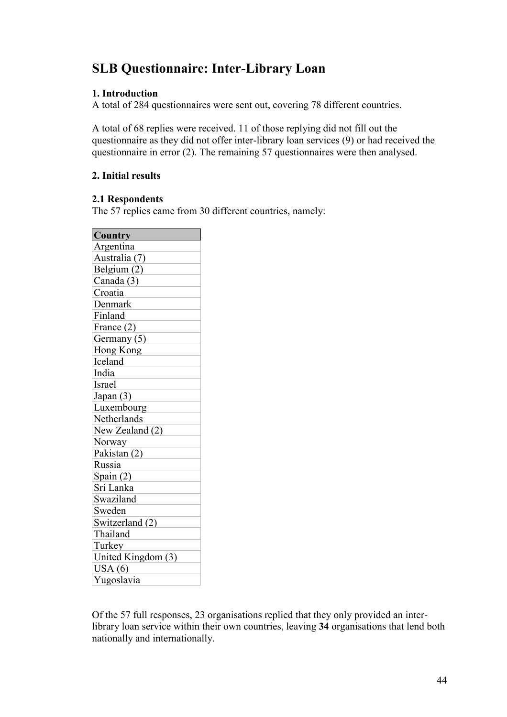## **SLB Questionnaire: Inter-Library Loan**

#### **1. Introduction**

A total of 284 questionnaires were sent out, covering 78 different countries.

A total of 68 replies were received. 11 of those replying did not fill out the questionnaire as they did not offer inter-library loan services (9) or had received the questionnaire in error (2). The remaining 57 questionnaires were then analysed.

#### **2. Initial results**

#### **2.1 Respondents**

The 57 replies came from 30 different countries, namely:

| <b>Country</b>     |
|--------------------|
| Argentina          |
| Australia (7)      |
| Belgium (2)        |
| Canada (3)         |
| Croatia            |
| Denmark            |
| Finland            |
| France (2)         |
| Germany (5)        |
| Hong Kong          |
| Iceland            |
| India              |
| Israel             |
| Japan (3)          |
| Luxembourg         |
| Netherlands        |
| New Zealand (2)    |
| Norway             |
| Pakistan (2)       |
| Russia             |
| Spain (2)          |
| Sri Lanka          |
| Swaziland          |
| Sweden             |
| Switzerland (2)    |
| Thailand           |
| Turkey             |
| United Kingdom (3) |
| USA(6)             |
| Yugoslavia         |
|                    |

Of the 57 full responses, 23 organisations replied that they only provided an interlibrary loan service within their own countries, leaving **34** organisations that lend both nationally and internationally.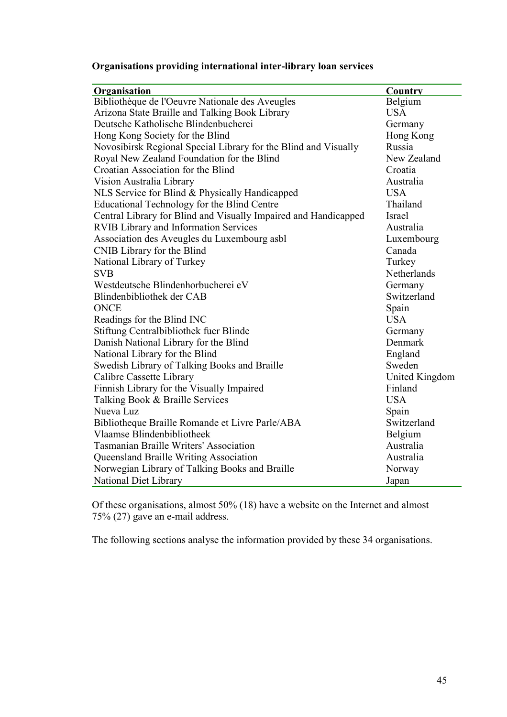| Organisations providing international inter-library loan services |  |  |  |
|-------------------------------------------------------------------|--|--|--|
|                                                                   |  |  |  |

| Organisation                                                    | <b>Country</b> |
|-----------------------------------------------------------------|----------------|
| Bibliothèque de l'Oeuvre Nationale des Aveugles                 | Belgium        |
| Arizona State Braille and Talking Book Library                  | <b>USA</b>     |
| Deutsche Katholische Blindenbucherei                            | Germany        |
| Hong Kong Society for the Blind                                 | Hong Kong      |
| Novosibirsk Regional Special Library for the Blind and Visually | Russia         |
| Royal New Zealand Foundation for the Blind                      | New Zealand    |
| Croatian Association for the Blind                              | Croatia        |
| Vision Australia Library                                        | Australia      |
| NLS Service for Blind & Physically Handicapped                  | <b>USA</b>     |
| Educational Technology for the Blind Centre                     | Thailand       |
| Central Library for Blind and Visually Impaired and Handicapped | Israel         |
| <b>RVIB Library and Information Services</b>                    | Australia      |
| Association des Aveugles du Luxembourg asbl                     | Luxembourg     |
| CNIB Library for the Blind                                      | Canada         |
| National Library of Turkey                                      | Turkey         |
| <b>SVB</b>                                                      | Netherlands    |
| Westdeutsche Blindenhorbucherei eV                              | Germany        |
| Blindenbibliothek der CAB                                       | Switzerland    |
| <b>ONCE</b>                                                     | Spain          |
| Readings for the Blind INC                                      | <b>USA</b>     |
| Stiftung Centralbibliothek fuer Blinde                          | Germany        |
| Danish National Library for the Blind                           | Denmark        |
| National Library for the Blind                                  | England        |
| Swedish Library of Talking Books and Braille                    | Sweden         |
| Calibre Cassette Library                                        | United Kingdom |
| Finnish Library for the Visually Impaired                       | Finland        |
| Talking Book & Braille Services                                 | <b>USA</b>     |
| Nueva Luz                                                       | Spain          |
| Bibliotheque Braille Romande et Livre Parle/ABA                 | Switzerland    |
| Vlaamse Blindenbibliotheek                                      | Belgium        |
| <b>Tasmanian Braille Writers' Association</b>                   | Australia      |
| <b>Queensland Braille Writing Association</b>                   | Australia      |
| Norwegian Library of Talking Books and Braille                  | Norway         |
| <b>National Diet Library</b>                                    | Japan          |

Of these organisations, almost 50% (18) have a website on the Internet and almost 75% (27) gave an e-mail address.

The following sections analyse the information provided by these 34 organisations.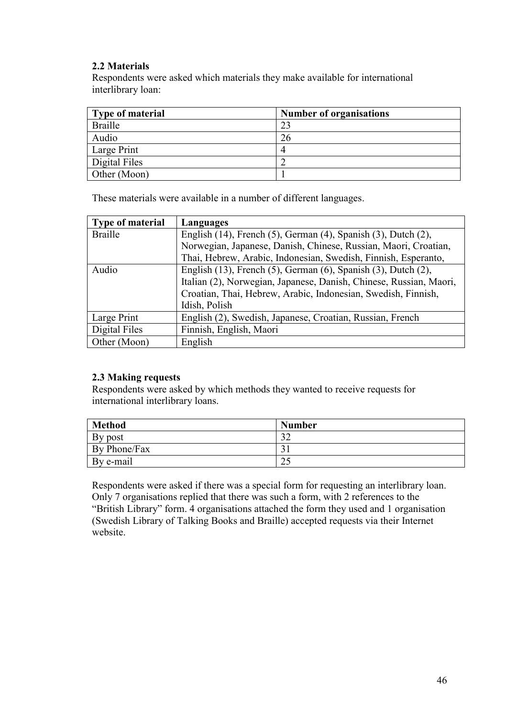#### **2.2 Materials**

Respondents were asked which materials they make available for international interlibrary loan:

| <b>Type of material</b> | <b>Number of organisations</b> |
|-------------------------|--------------------------------|
| <b>Braille</b>          | 23                             |
| Audio                   | 26                             |
| Large Print             |                                |
| Digital Files           |                                |
| Other (Moon)            |                                |

These materials were available in a number of different languages.

| <b>Type of material</b> | Languages                                                                    |
|-------------------------|------------------------------------------------------------------------------|
| <b>Braille</b>          | English $(14)$ , French $(5)$ , German $(4)$ , Spanish $(3)$ , Dutch $(2)$ , |
|                         | Norwegian, Japanese, Danish, Chinese, Russian, Maori, Croatian,              |
|                         | Thai, Hebrew, Arabic, Indonesian, Swedish, Finnish, Esperanto,               |
| Audio                   | English $(13)$ , French $(5)$ , German $(6)$ , Spanish $(3)$ , Dutch $(2)$ , |
|                         | Italian (2), Norwegian, Japanese, Danish, Chinese, Russian, Maori,           |
|                         | Croatian, Thai, Hebrew, Arabic, Indonesian, Swedish, Finnish,                |
|                         | Idish, Polish                                                                |
| Large Print             | English (2), Swedish, Japanese, Croatian, Russian, French                    |
| Digital Files           | Finnish, English, Maori                                                      |
| Other (Moon)            | English                                                                      |

#### **2.3 Making requests**

Respondents were asked by which methods they wanted to receive requests for international interlibrary loans.

| <b>Method</b> | <b>Number</b> |
|---------------|---------------|
| By post       | $\gamma$      |
| By Phone/Fax  |               |
| By e-mail     | ل کے          |

Respondents were asked if there was a special form for requesting an interlibrary loan. Only 7 organisations replied that there was such a form, with 2 references to the "British Library" form. 4 organisations attached the form they used and 1 organisation (Swedish Library of Talking Books and Braille) accepted requests via their Internet website.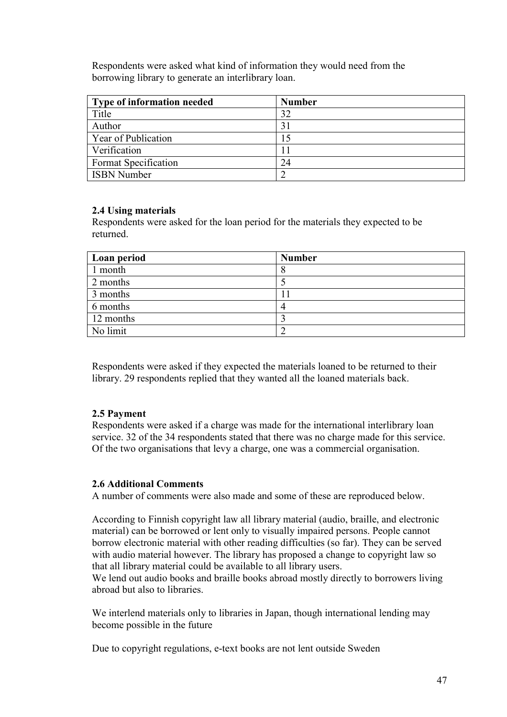Respondents were asked what kind of information they would need from the borrowing library to generate an interlibrary loan.

| Type of information needed | <b>Number</b> |
|----------------------------|---------------|
| Title                      | 32            |
| Author                     | 31            |
| Year of Publication        | 15            |
| Verification               |               |
| Format Specification       | 24            |
| <b>ISBN Number</b>         |               |

#### **2.4 Using materials**

Respondents were asked for the loan period for the materials they expected to be returned.

| Loan period | <b>Number</b> |
|-------------|---------------|
| 1 month     |               |
| 2 months    |               |
| 3 months    |               |
| 6 months    |               |
| 12 months   |               |
| No limit    |               |

Respondents were asked if they expected the materials loaned to be returned to their library. 29 respondents replied that they wanted all the loaned materials back.

#### **2.5 Payment**

Respondents were asked if a charge was made for the international interlibrary loan service. 32 of the 34 respondents stated that there was no charge made for this service. Of the two organisations that levy a charge, one was a commercial organisation.

#### **2.6 Additional Comments**

A number of comments were also made and some of these are reproduced below.

According to Finnish copyright law all library material (audio, braille, and electronic material) can be borrowed or lent only to visually impaired persons. People cannot borrow electronic material with other reading difficulties (so far). They can be served with audio material however. The library has proposed a change to copyright law so that all library material could be available to all library users.

We lend out audio books and braille books abroad mostly directly to borrowers living abroad but also to libraries.

We interlend materials only to libraries in Japan, though international lending may become possible in the future

Due to copyright regulations, e-text books are not lent outside Sweden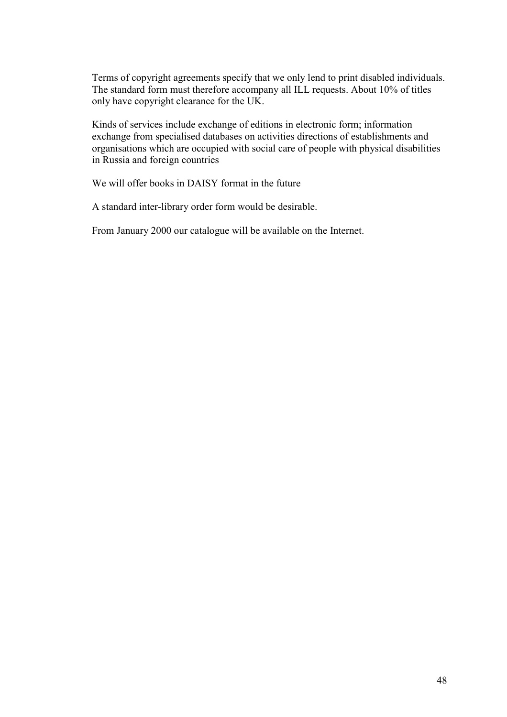Terms of copyright agreements specify that we only lend to print disabled individuals. The standard form must therefore accompany all ILL requests. About 10% of titles only have copyright clearance for the UK.

Kinds of services include exchange of editions in electronic form; information exchange from specialised databases on activities directions of establishments and organisations which are occupied with social care of people with physical disabilities in Russia and foreign countries

We will offer books in DAISY format in the future

A standard inter-library order form would be desirable.

From January 2000 our catalogue will be available on the Internet.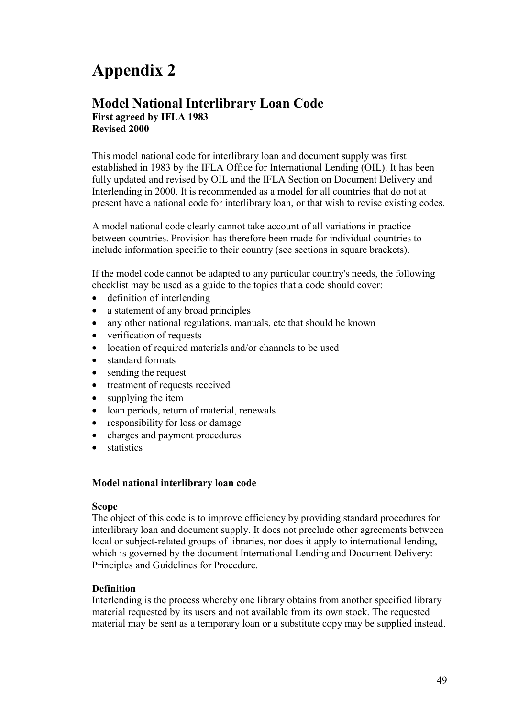# **Appendix 2**

#### **Model National Interlibrary Loan Code First agreed by IFLA 1983 Revised 2000**

This model national code for interlibrary loan and document supply was first established in 1983 by the IFLA Office for International Lending (OIL). It has been fully updated and revised by OIL and the IFLA Section on Document Delivery and Interlending in 2000. It is recommended as a model for all countries that do not at present have a national code for interlibrary loan, or that wish to revise existing codes.

A model national code clearly cannot take account of all variations in practice between countries. Provision has therefore been made for individual countries to include information specific to their country (see sections in square brackets).

If the model code cannot be adapted to any particular country's needs, the following checklist may be used as a guide to the topics that a code should cover:

- definition of interlending
- a statement of any broad principles
- any other national regulations, manuals, etc that should be known
- verification of requests
- location of required materials and/or channels to be used
- standard formats
- sending the request
- treatment of requests received
- supplying the item
- loan periods, return of material, renewals
- responsibility for loss or damage
- charges and payment procedures
- **statistics**

#### **Model national interlibrary loan code**

#### **Scope**

The object of this code is to improve efficiency by providing standard procedures for interlibrary loan and document supply. It does not preclude other agreements between local or subject-related groups of libraries, nor does it apply to international lending, which is governed by the document International Lending and Document Delivery: Principles and Guidelines for Procedure.

#### **Definition**

Interlending is the process whereby one library obtains from another specified library material requested by its users and not available from its own stock. The requested material may be sent as a temporary loan or a substitute copy may be supplied instead.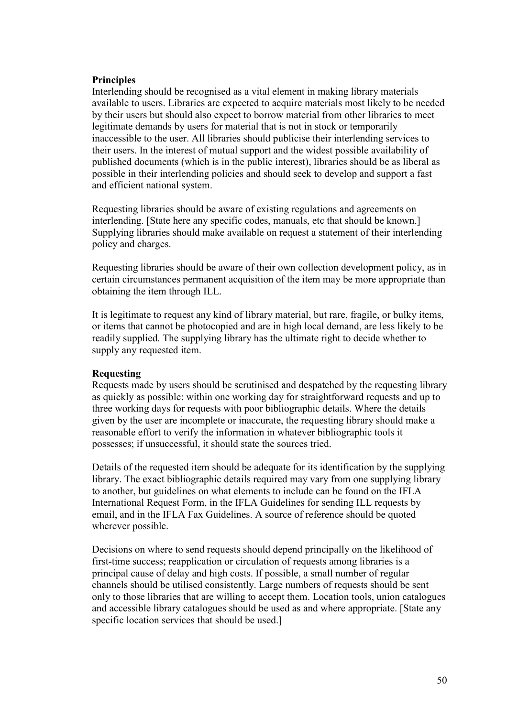#### **Principles**

Interlending should be recognised as a vital element in making library materials available to users. Libraries are expected to acquire materials most likely to be needed by their users but should also expect to borrow material from other libraries to meet legitimate demands by users for material that is not in stock or temporarily inaccessible to the user. All libraries should publicise their interlending services to their users. In the interest of mutual support and the widest possible availability of published documents (which is in the public interest), libraries should be as liberal as possible in their interlending policies and should seek to develop and support a fast and efficient national system.

Requesting libraries should be aware of existing regulations and agreements on interlending. [State here any specific codes, manuals, etc that should be known.] Supplying libraries should make available on request a statement of their interlending policy and charges.

Requesting libraries should be aware of their own collection development policy, as in certain circumstances permanent acquisition of the item may be more appropriate than obtaining the item through ILL.

It is legitimate to request any kind of library material, but rare, fragile, or bulky items, or items that cannot be photocopied and are in high local demand, are less likely to be readily supplied. The supplying library has the ultimate right to decide whether to supply any requested item.

#### **Requesting**

Requests made by users should be scrutinised and despatched by the requesting library as quickly as possible: within one working day for straightforward requests and up to three working days for requests with poor bibliographic details. Where the details given by the user are incomplete or inaccurate, the requesting library should make a reasonable effort to verify the information in whatever bibliographic tools it possesses; if unsuccessful, it should state the sources tried.

Details of the requested item should be adequate for its identification by the supplying library. The exact bibliographic details required may vary from one supplying library to another, but guidelines on what elements to include can be found on the IFLA International Request Form, in the IFLA Guidelines for sending ILL requests by email, and in the IFLA Fax Guidelines. A source of reference should be quoted wherever possible.

Decisions on where to send requests should depend principally on the likelihood of first-time success; reapplication or circulation of requests among libraries is a principal cause of delay and high costs. If possible, a small number of regular channels should be utilised consistently. Large numbers of requests should be sent only to those libraries that are willing to accept them. Location tools, union catalogues and accessible library catalogues should be used as and where appropriate. [State any specific location services that should be used.]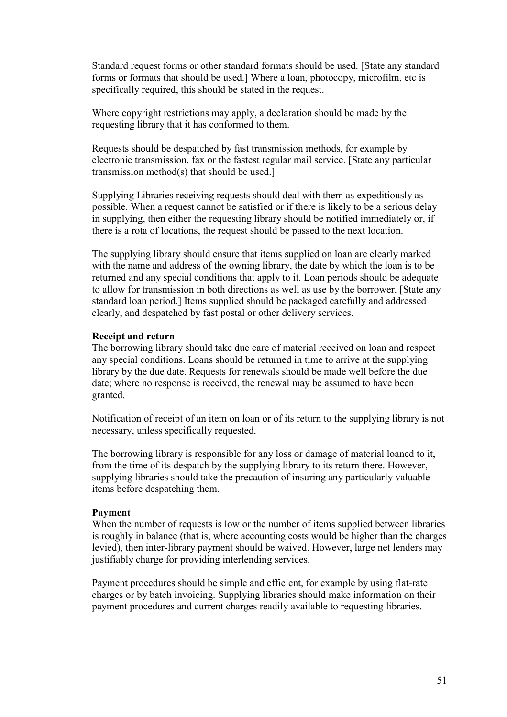Standard request forms or other standard formats should be used. [State any standard forms or formats that should be used.] Where a loan, photocopy, microfilm, etc is specifically required, this should be stated in the request.

Where copyright restrictions may apply, a declaration should be made by the requesting library that it has conformed to them.

Requests should be despatched by fast transmission methods, for example by electronic transmission, fax or the fastest regular mail service. [State any particular transmission method(s) that should be used.]

Supplying Libraries receiving requests should deal with them as expeditiously as possible. When a request cannot be satisfied or if there is likely to be a serious delay in supplying, then either the requesting library should be notified immediately or, if there is a rota of locations, the request should be passed to the next location.

The supplying library should ensure that items supplied on loan are clearly marked with the name and address of the owning library, the date by which the loan is to be returned and any special conditions that apply to it. Loan periods should be adequate to allow for transmission in both directions as well as use by the borrower. [State any standard loan period.] Items supplied should be packaged carefully and addressed clearly, and despatched by fast postal or other delivery services.

#### **Receipt and return**

The borrowing library should take due care of material received on loan and respect any special conditions. Loans should be returned in time to arrive at the supplying library by the due date. Requests for renewals should be made well before the due date; where no response is received, the renewal may be assumed to have been granted.

Notification of receipt of an item on loan or of its return to the supplying library is not necessary, unless specifically requested.

The borrowing library is responsible for any loss or damage of material loaned to it, from the time of its despatch by the supplying library to its return there. However, supplying libraries should take the precaution of insuring any particularly valuable items before despatching them.

#### **Payment**

When the number of requests is low or the number of items supplied between libraries is roughly in balance (that is, where accounting costs would be higher than the charges levied), then inter-library payment should be waived. However, large net lenders may justifiably charge for providing interlending services.

Payment procedures should be simple and efficient, for example by using flat-rate charges or by batch invoicing. Supplying libraries should make information on their payment procedures and current charges readily available to requesting libraries.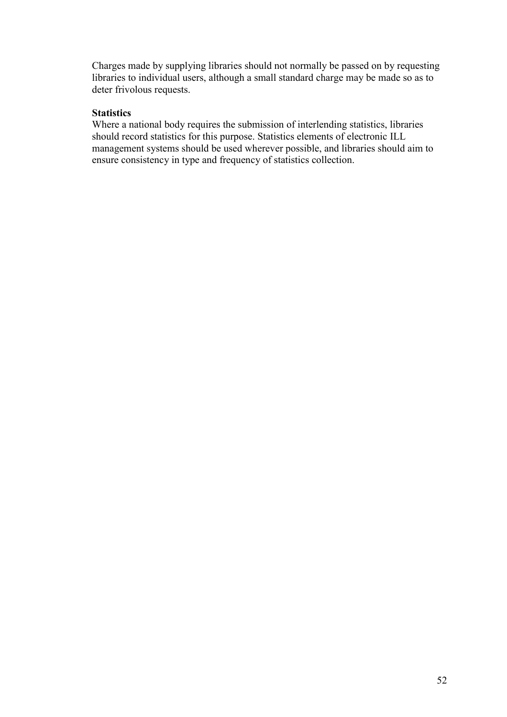Charges made by supplying libraries should not normally be passed on by requesting libraries to individual users, although a small standard charge may be made so as to deter frivolous requests.

#### **Statistics**

Where a national body requires the submission of interlending statistics, libraries should record statistics for this purpose. Statistics elements of electronic ILL management systems should be used wherever possible, and libraries should aim to ensure consistency in type and frequency of statistics collection.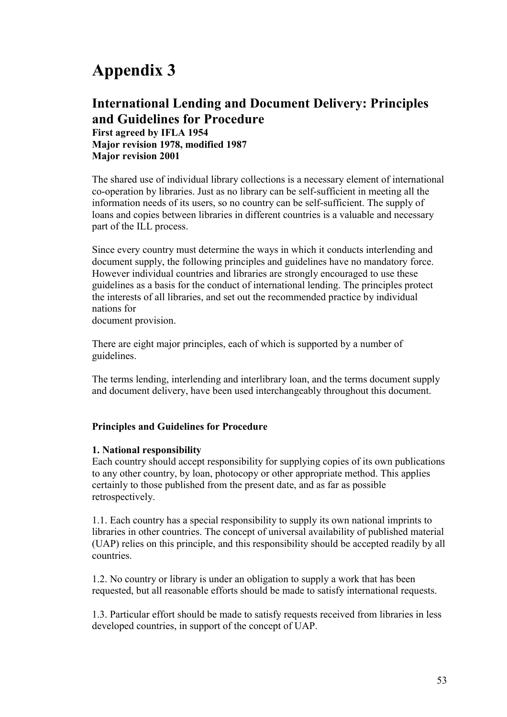# **Appendix 3**

#### **International Lending and Document Delivery: Principles and Guidelines for Procedure First agreed by IFLA 1954 Major revision 1978, modified 1987 Major revision 2001**

The shared use of individual library collections is a necessary element of international co-operation by libraries. Just as no library can be self-sufficient in meeting all the information needs of its users, so no country can be self-sufficient. The supply of loans and copies between libraries in different countries is a valuable and necessary part of the ILL process.

Since every country must determine the ways in which it conducts interlending and document supply, the following principles and guidelines have no mandatory force. However individual countries and libraries are strongly encouraged to use these guidelines as a basis for the conduct of international lending. The principles protect the interests of all libraries, and set out the recommended practice by individual nations for

document provision.

There are eight major principles, each of which is supported by a number of guidelines.

The terms lending, interlending and interlibrary loan, and the terms document supply and document delivery, have been used interchangeably throughout this document.

#### **Principles and Guidelines for Procedure**

#### **1. National responsibility**

Each country should accept responsibility for supplying copies of its own publications to any other country, by loan, photocopy or other appropriate method. This applies certainly to those published from the present date, and as far as possible retrospectively.

1.1. Each country has a special responsibility to supply its own national imprints to libraries in other countries. The concept of universal availability of published material (UAP) relies on this principle, and this responsibility should be accepted readily by all countries.

1.2. No country or library is under an obligation to supply a work that has been requested, but all reasonable efforts should be made to satisfy international requests.

1.3. Particular effort should be made to satisfy requests received from libraries in less developed countries, in support of the concept of UAP.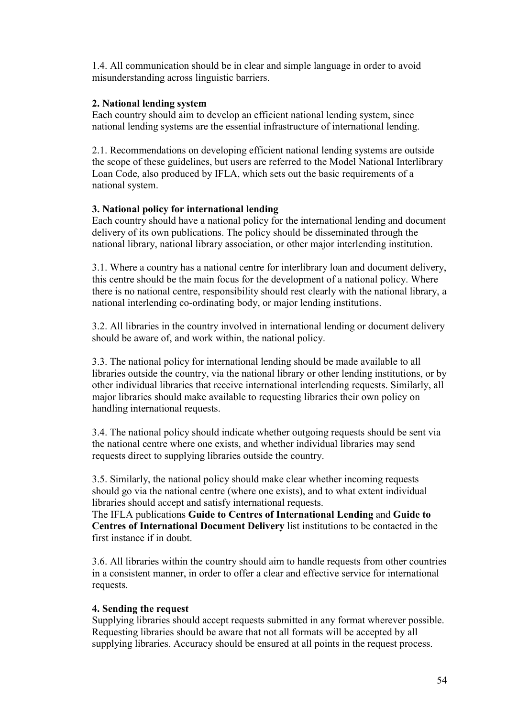1.4. All communication should be in clear and simple language in order to avoid misunderstanding across linguistic barriers.

#### **2. National lending system**

Each country should aim to develop an efficient national lending system, since national lending systems are the essential infrastructure of international lending.

2.1. Recommendations on developing efficient national lending systems are outside the scope of these guidelines, but users are referred to the Model National Interlibrary Loan Code, also produced by IFLA, which sets out the basic requirements of a national system.

#### **3. National policy for international lending**

Each country should have a national policy for the international lending and document delivery of its own publications. The policy should be disseminated through the national library, national library association, or other major interlending institution.

3.1. Where a country has a national centre for interlibrary loan and document delivery, this centre should be the main focus for the development of a national policy. Where there is no national centre, responsibility should rest clearly with the national library, a national interlending co-ordinating body, or major lending institutions.

3.2. All libraries in the country involved in international lending or document delivery should be aware of, and work within, the national policy.

3.3. The national policy for international lending should be made available to all libraries outside the country, via the national library or other lending institutions, or by other individual libraries that receive international interlending requests. Similarly, all major libraries should make available to requesting libraries their own policy on handling international requests.

3.4. The national policy should indicate whether outgoing requests should be sent via the national centre where one exists, and whether individual libraries may send requests direct to supplying libraries outside the country.

3.5. Similarly, the national policy should make clear whether incoming requests should go via the national centre (where one exists), and to what extent individual libraries should accept and satisfy international requests.

The IFLA publications **Guide to Centres of International Lending** and **Guide to Centres of International Document Delivery** list institutions to be contacted in the first instance if in doubt.

3.6. All libraries within the country should aim to handle requests from other countries in a consistent manner, in order to offer a clear and effective service for international requests.

#### **4. Sending the request**

Supplying libraries should accept requests submitted in any format wherever possible. Requesting libraries should be aware that not all formats will be accepted by all supplying libraries. Accuracy should be ensured at all points in the request process.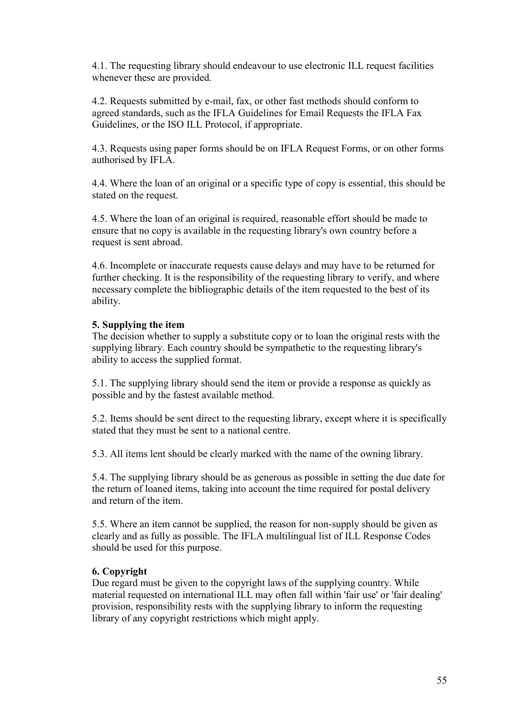4.1. The requesting library should endeavour to use electronic ILL request facilities whenever these are provided.

4.2. Requests submitted by e-mail, fax, or other fast methods should conform to agreed standards, such as the IFLA Guidelines for Email Requests the IFLA Fax Guidelines, or the ISO ILL Protocol, if appropriate.

4.3. Requests using paper forms should be on IFLA Request Forms, or on other forms authorised by IFLA.

4.4. Where the loan of an original or a specific type of copy is essential, this should be stated on the request.

4.5. Where the loan of an original is required, reasonable effort should be made to ensure that no copy is available in the requesting library's own country before a request is sent abroad.

4.6. Incomplete or inaccurate requests cause delays and may have to be returned for further checking. It is the responsibility of the requesting library to verify, and where necessary complete the bibliographic details of the item requested to the best of its ability.

#### **5. Supplying the item**

The decision whether to supply a substitute copy or to loan the original rests with the supplying library. Each country should be sympathetic to the requesting library's ability to access the supplied format.

5.1. The supplying library should send the item or provide a response as quickly as possible and by the fastest available method.

5.2. Items should be sent direct to the requesting library, except where it is specifically stated that they must be sent to a national centre.

5.3. All items lent should be clearly marked with the name of the owning library.

5.4. The supplying library should be as generous as possible in setting the due date for the return of loaned items, taking into account the time required for postal delivery and return of the item.

5.5. Where an item cannot be supplied, the reason for non-supply should be given as clearly and as fully as possible. The IFLA multilingual list of ILL Response Codes should be used for this purpose.

#### **6. Copyright**

Due regard must be given to the copyright laws of the supplying country. While material requested on international ILL may often fall within 'fair use' or 'fair dealing' provision, responsibility rests with the supplying library to inform the requesting library of any copyright restrictions which might apply.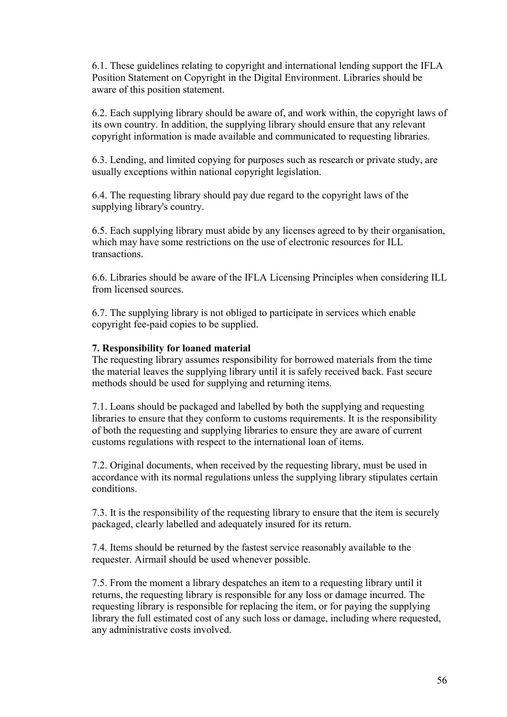6.1. These guidelines relating to copyright and international lending support the IFLA Position Statement on Copyright in the Digital Environment. Libraries should be aware of this position statement.

6.2. Each supplying library should be aware of, and work within, the copyright laws of its own country. In addition, the supplying library should ensure that any relevant copyright information is made available and communicated to requesting libraries.

6.3. Lending, and limited copying for purposes such as research or private study, are usually exceptions within national copyright legislation.

6.4. The requesting library should pay due regard to the copyright laws of the supplying library's country.

6.5. Each supplying library must abide by any licenses agreed to by their organisation, which may have some restrictions on the use of electronic resources for ILL transactions.

6.6. Libraries should be aware of the IFLA Licensing Principles when considering ILL from licensed sources.

6.7. The supplying library is not obliged to participate in services which enable copyright fee-paid copies to be supplied.

#### **7. Responsibility for loaned material**

The requesting library assumes responsibility for borrowed materials from the time the material leaves the supplying library until it is safely received back. Fast secure methods should be used for supplying and returning items.

7.1. Loans should be packaged and labelled by both the supplying and requesting libraries to ensure that they conform to customs requirements. It is the responsibility of both the requesting and supplying libraries to ensure they are aware of current customs regulations with respect to the international loan of items.

7.2. Original documents, when received by the requesting library, must be used in accordance with its normal regulations unless the supplying library stipulates certain conditions.

7.3. It is the responsibility of the requesting library to ensure that the item is securely packaged, clearly labelled and adequately insured for its return.

7.4. Items should be returned by the fastest service reasonably available to the requester. Airmail should be used whenever possible.

7.5. From the moment a library despatches an item to a requesting library until it returns, the requesting library is responsible for any loss or damage incurred. The requesting library is responsible for replacing the item, or for paying the supplying library the full estimated cost of any such loss or damage, including where requested, any administrative costs involved.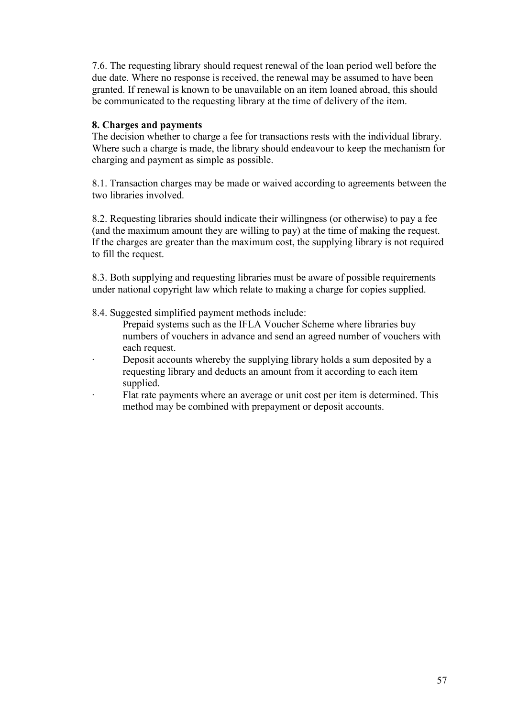7.6. The requesting library should request renewal of the loan period well before the due date. Where no response is received, the renewal may be assumed to have been granted. If renewal is known to be unavailable on an item loaned abroad, this should be communicated to the requesting library at the time of delivery of the item.

#### **8. Charges and payments**

The decision whether to charge a fee for transactions rests with the individual library. Where such a charge is made, the library should endeavour to keep the mechanism for charging and payment as simple as possible.

8.1. Transaction charges may be made or waived according to agreements between the two libraries involved.

8.2. Requesting libraries should indicate their willingness (or otherwise) to pay a fee (and the maximum amount they are willing to pay) at the time of making the request. If the charges are greater than the maximum cost, the supplying library is not required to fill the request.

8.3. Both supplying and requesting libraries must be aware of possible requirements under national copyright law which relate to making a charge for copies supplied.

8.4. Suggested simplified payment methods include:

- Prepaid systems such as the IFLA Voucher Scheme where libraries buy numbers of vouchers in advance and send an agreed number of vouchers with each request.
- Deposit accounts whereby the supplying library holds a sum deposited by a requesting library and deducts an amount from it according to each item supplied.
- Flat rate payments where an average or unit cost per item is determined. This method may be combined with prepayment or deposit accounts.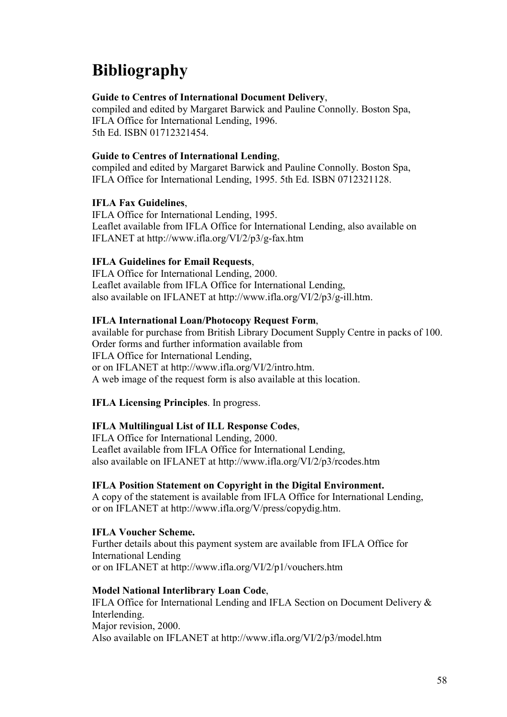# **Bibliography**

#### **Guide to Centres of International Document Delivery**,

compiled and edited by Margaret Barwick and Pauline Connolly. Boston Spa, IFLA Office for International Lending, 1996. 5th Ed. ISBN 01712321454.

#### **Guide to Centres of International Lending**,

compiled and edited by Margaret Barwick and Pauline Connolly. Boston Spa, IFLA Office for International Lending, 1995. 5th Ed. ISBN 0712321128.

#### **IFLA Fax Guidelines**,

IFLA Office for International Lending, 1995. Leaflet available from IFLA Office for International Lending, also available on IFLANET at http://www.ifla.org/VI/2/p3/g-fax.htm

#### **IFLA Guidelines for Email Requests**,

IFLA Office for International Lending, 2000. Leaflet available from IFLA Office for International Lending, also available on IFLANET at http://www.ifla.org/VI/2/p3/g-ill.htm.

#### **IFLA International Loan/Photocopy Request Form**,

available for purchase from British Library Document Supply Centre in packs of 100. Order forms and further information available from IFLA Office for International Lending, or on IFLANET at http://www.ifla.org/VI/2/intro.htm. A web image of the request form is also available at this location.

#### **IFLA Licensing Principles**. In progress.

#### **IFLA Multilingual List of ILL Response Codes**,

IFLA Office for International Lending, 2000. Leaflet available from IFLA Office for International Lending, also available on IFLANET at http://www.ifla.org/VI/2/p3/rcodes.htm

#### **IFLA Position Statement on Copyright in the Digital Environment.**

A copy of the statement is available from IFLA Office for International Lending, or on IFLANET at http://www.ifla.org/V/press/copydig.htm.

#### **IFLA Voucher Scheme.**

Further details about this payment system are available from IFLA Office for International Lending or on IFLANET at http://www.ifla.org/VI/2/p1/vouchers.htm

#### **Model National Interlibrary Loan Code**,

IFLA Office for International Lending and IFLA Section on Document Delivery & Interlending. Major revision, 2000. Also available on IFLANET at http://www.ifla.org/VI/2/p3/model.htm